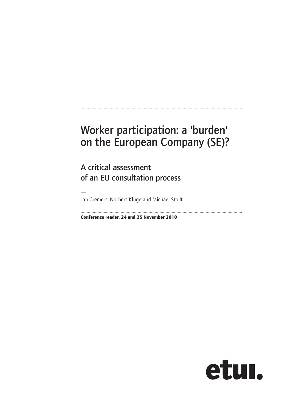# Worker participation: a 'burden' on the European Company (SE)?

.....................................................................................................................................

A critical assessment of an EU consultation process

— Jan Cremers, Norbert Kluge and Michael Stollt

.....................................................................................................................................

**Conference reader, 24 and 25 November 2010**

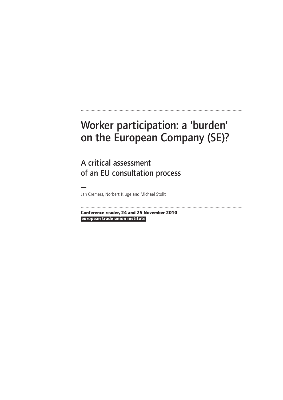# Worker participation: a 'burden' on the European Company (SE)?

.....................................................................................................................................

A critical assessment of an EU consultation process

— Jan Cremers, Norbert Kluge and Michael Stollt

**european trade union institute Conference reader, 24 and 25 November 2010**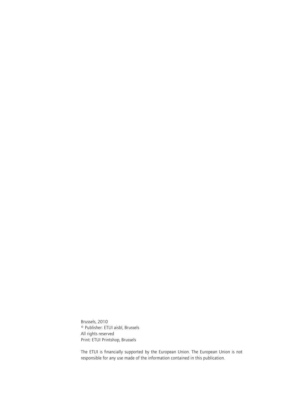Brussels, 2010 © Publisher: ETUI aisbl, Brussels All rights reserved Print: ETUI Printshop, Brussels

The ETUI is financially supported by the European Union. The European Union is not responsible for any use made of the information contained in this publication.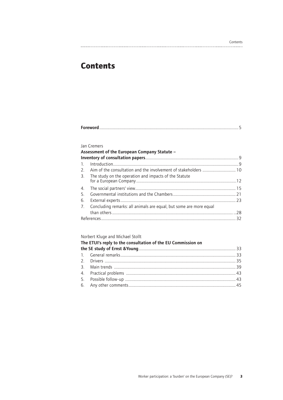#### Contents

## **Contents**

| <b>Jan Cremers</b>                                                    |  |
|-----------------------------------------------------------------------|--|
| Assessment of the European Company Statute -                          |  |
|                                                                       |  |
|                                                                       |  |
|                                                                       |  |
| 3. The study on the operation and impacts of the Statute              |  |
|                                                                       |  |
|                                                                       |  |
|                                                                       |  |
| 7. Concluding remarks: all animals are equal, but some are more equal |  |
|                                                                       |  |
|                                                                       |  |

Norbert Kluge and Michael Stollt

| The ETUI's reply to the consultation of the EU Commission on |  |  |  |
|--------------------------------------------------------------|--|--|--|
|                                                              |  |  |  |
|                                                              |  |  |  |
|                                                              |  |  |  |
|                                                              |  |  |  |
|                                                              |  |  |  |
|                                                              |  |  |  |
|                                                              |  |  |  |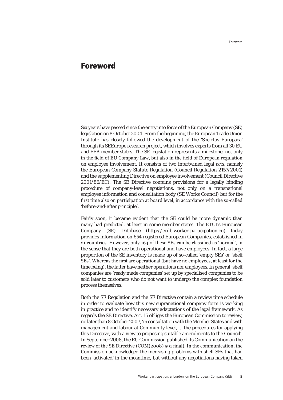#### Foreword

## **Foreword**

Six years have passed since the entry into force of the European Company (SE) legislation on 8 October 2004. From the beginning, the European Trade Union Institute has closely followed the development of the 'Societas Europaea' through its SEEurope research project, which involves experts from all 30 EU and EEA member states. The SE legislation represents a milestone, not only in the field of EU Company Law, but also in the field of European regulation on employee involvement. It consists of two intertwined legal acts, namely the European Company Statute Regulation (Council Regulation 2157/2001) and the supplementing Directive on employee involvement (Council Directive 2001/86/EC). The SE Directive contains provisions for a legally binding procedure of company-level negotiations, not only on a transnational employee information and consultation body (SE Works Council) but for the first time also on participation at board level, in accordance with the so-called 'before-and-after principle'.

Fairly soon, it became evident that the SE could be more dynamic than many had predicted, at least in some member states. The ETUI's European Company (SE) Database (http://ecdb.worker-participation.eu) today provides information on 654 registered European Companies, established in 21 countries. However, only 164 of these SEs can be classified as 'normal', in the sense that they are both operational and have employees. In fact, a large proportion of the SE inventory is made up of so-called 'empty SEs' or 'shelf SEs'. Whereas the first are operational (but have no employees, at least for the time being), the latter have neither operations nor employees. In general, shelf companies are 'ready made companies' set up by specialised companies to be sold later to customers who do not want to undergo the complex foundation process themselves.

Both the SE Regulation and the SE Directive contain a review time schedule in order to evaluate how this new supranational company form is working in practice and to identify necessary adaptations of the legal framework. As regards the SE Directive, Art. 15 obliges the European Commission to review, no later than 8 October 2007, 'in consultation with the Member States and with management and labour at Community level, ... the procedures for applying this Directive, with a view to proposing suitable amendments to the Council'. In September 2008, the EU Commission published its Communication on the review of the SE Directive (COM(2008) 591 final). In the communication, the Commission acknowledged the increasing problems with shelf SEs that had been 'activated' in the meantime, but without any negotiations having taken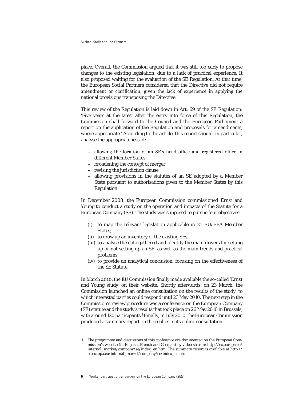place. Overall, the Commission argued that it was still too early to propose changes to the existing legislation, due to a lack of practical experience. It also proposed waiting for the evaluation of the SE Regulation. At that time, the European Social Partners considered that the Directive did not require amendment or clarification, given the lack of experience in applying the national provisions transposing the Directive.

This review of the Regulation is laid down in Art. 69 of the SE Regulation: 'Five years at the latest after the entry into force of this Regulation, the Commission shall forward to the Council and the European Parliament a report on the application of the Regulation and proposals for amendments, where appropriate.' According to the article, this report should, in particular, analyse the appropriateness of:

- **–** allowing the location of an SE's head office and registered office in different Member States;
- **–** broadening the concept of merger;
- **–** revising the jurisdiction clause;
- **–** allowing provisions in the statutes of an SE adopted by a Member State pursuant to authorisations given to the Member States by this Regulation.

In December 2008, the European Commission commissioned Ernst and Young to conduct a study on the operation and impacts of the Statute for a European Company (SE). The study was supposed to pursue four objectives:

- (i) to map the relevant legislation applicable in 25 EU/EEA Member States:
- (ii) to draw up an inventory of the existing SEs;
- (iii) to analyse the data gathered and identify the main drivers for setting up or not setting up an SE, as well as the main trends and practical problems;
- (iv) to provide an analytical conclusion, focusing on the effectiveness of the SE Statute.

In March 2010, the EU Commission finally made available the so-called 'Ernst and Young study' on their website. Shortly afterwards, on 23 March, the Commission launched an online consultation on the results of the study, to which interested parties could respond until 23 May 2010. The next step in the Commission's review procedure was a conference on the European Company (SE) statute and the study's results that took place on 26 May 2010 in Brussels, with around 120 participants.<sup>1</sup> Finally, in July 2010, the European Commission produced a summary report on the replies to its online consultation.

**6** Worker participation: a 'burden' on the European Company (SE)?

**<sup>1.</sup>** The programme and discussions of this conference are documented on the European Commission's website (in English, French and German) by video stream: http://ec.europa.eu/ internal\_market/company/se/index\_en.htm. The summary report is available at http:// ec.europa.eu/internal\_market/company/se/index\_en.htm.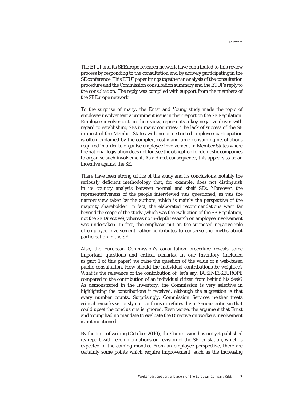The ETUI and its SEEurope research network have contributed to this review process by responding to the consultation and by actively participating in the SE conference. This ETUI paper brings together an analysis of the consultation procedure and the Commission consultation summary and the ETUI's reply to the consultation. The reply was compiled with support from the members of the SEEurope network.

To the surprise of many, the Ernst and Young study made the topic of employee involvement a prominent issue in their report on the SE Regulation. Employee involvement, in their view, represents a key negative driver with regard to establishing SEs in many countries: 'The lack of success of the SE in most of the Member States with no or restricted employee participation is often explained by the complex, costly and time-consuming negotiations required in order to organise employee involvement in Member States where the national legislation does not foresee the obligation for domestic companies to organise such involvement. As a direct consequence, this appears to be an incentive against the SE.'

There have been strong critics of the study and its conclusions, notably the seriously deficient methodology that, for example, does not distinguish in its country analysis between normal and shelf SEs. Moreover, the representativeness of the people interviewed was questioned, as was the narrow view taken by the authors, which is mainly the perspective of the majority shareholder. In fact, the elaborated recommendations went far beyond the scope of the study (which was the evaluation of the SE Regulation, not the SE Directive), whereas no in-depth research on employee involvement was undertaken. In fact, the emphasis put on the supposed negative role of employee involvement rather contributes to conserve the 'myths about participation in the SE'.

Also, the European Commission's consultation procedure reveals some important questions and critical remarks. In our Inventory (included as part 1 of this paper) we raise the question of the value of a web-based public consultation. How should the individual contributions be weighted? What is the relevance of the contribution of, let's say, BUSINESSEUROPE compared to the contribution of an individual citizen from behind his desk? As demonstrated in the Inventory, the Commission is very selective in highlighting the contributions it received, although the suggestion is that every number counts. Surprisingly, Commission Services neither treats critical remarks seriously nor confirms or refutes them. Serious criticism that could upset the conclusions is ignored. Even worse, the argument that Ernst and Young had no mandate to evaluate the Directive on workers involvement is not mentioned.

By the time of writing (October 2010), the Commission has not yet published its report with recommendations on revision of the SE legislation, which is expected in the coming months. From an employee perspective, there are certainly some points which require improvement, such as the increasing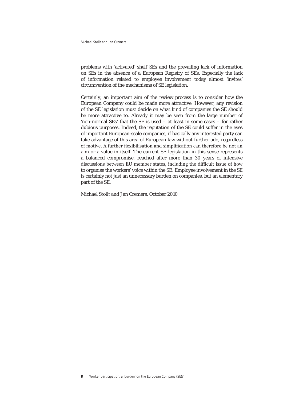problems with 'activated' shelf SEs and the prevailing lack of information on SEs in the absence of a European Registry of SEs. Especially the lack of information related to employee involvement today almost 'invites' circumvention of the mechanisms of SE legislation.

Certainly, an important aim of the review process is to consider how the European Company could be made more attractive. However, any revision of the SE legislation must decide on what kind of companies the SE should be more attractive to. Already it may be seen from the large number of 'non-normal SEs' that the SE is used – at least in some cases – for rather dubious purposes. Indeed, the reputation of the SE could suffer in the eyes of important European-scale companies, if basically any interested party can take advantage of this area of European law without further ado, regardless of motive. A further flexibilisation and simplification can therefore be not an aim or a value in itself. The current SE legislation in this sense represents a balanced compromise, reached after more than 30 years of intensive discussions between EU member states, including the difficult issue of how to organise the workers' voice within the SE. Employee involvement in the SE is certainly not just an unnecessary burden on companies, but an elementary part of the SE.

Michael Stollt and Jan Cremers, October 2010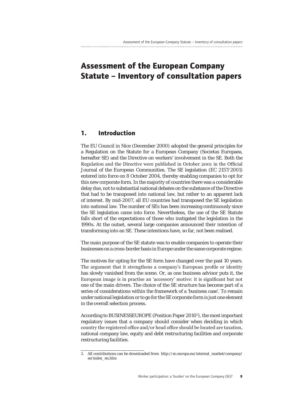## **Assessment of the European Company Statute – Inventory of consultation papers**

### **1. Introduction**

The EU Council in Nice (December 2000) adopted the general principles for a Regulation on the Statute for a European Company (Societas Europaea, hereafter SE) and the Directive on workers' involvement in the SE. Both the Regulation and the Directive were published in October 2001 in the Official Journal of the European Communities. The SE legislation (EC 2157/2001) entered into force on 8 October 2004, thereby enabling companies to opt for this new corporate form. In the majority of countries there was a considerable delay due, not to substantial national debates on the substance of the Directive that had to be transposed into national law, but rather to an apparent lack of interest. By mid-2007, all EU countries had transposed the SE legislation into national law. The number of SEs has been increasing continuously since the SE legislation came into force. Nevertheless, the use of the SE Statute falls short of the expectations of those who instigated the legislation in the 1990s. At the outset, several large companies announced their intention of transforming into an SE. These intentions have, so far, not been realised.

The main purpose of the SE statute was to enable companies to operate their businesses on a cross-border basis in Europe under the same corporate regime.

The motives for opting for the SE form have changed over the past 10 years. The argument that it strengthens a company's European profile or identity has slowly vanished from the scene. Or, as one business advisor puts it, the European image is in practise an 'accessory' motive: it is significant but not one of the main drivers. The choice of the SE structure has become part of a series of considerations within the framework of a 'business case'. To remain under national legislation or to go for the SE corporate form is just one element in the overall selection process.

According to BUSINESSEUROPE (Position Paper 2010<sup>2</sup>), the most important regulatory issues that a company should consider when deciding in which country the registered office and/or head office should be located are taxation, national company law, equity and debt restructuring facilities and corporate restructuring facilities.

<sup>2.</sup> All contributions can be downloaded from http://ec.europa.eu/internal\_market/company/ se/index\_en.htm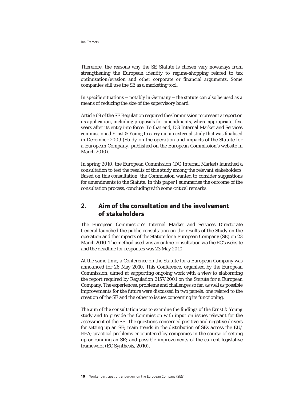Jan Cremers

Therefore, the reasons why the SE Statute is chosen vary nowadays from strengthening the European identity to regime-shopping related to tax optimisation/evasion and other corporate or financial arguments. Some companies still use the SE as a marketing tool.

In specific situations – notably in Germany – the statute can also be used as a means of reducing the size of the supervisory board.

Article 69 of the SE Regulation required the Commission to present a report on its application, including proposals for amendments, where appropriate, five years after its entry into force. To that end, DG Internal Market and Services commissioned Ernst & Young to carry out an external study that was finalised in December 2009 (*Study on the operation and impacts of the Statute for a European Company*, published on the European Commission's website in March 2010).

In spring 2010, the European Commission (DG Internal Market) launched a consultation to test the results of this study among the relevant stakeholders. Based on this consultation, the Commission wanted to consider suggestions for amendments to the Statute. In this paper I summarise the outcome of the consultation process, concluding with some critical remarks.

## **2. Aim of the consultation and the involvement of stakeholders**

The European Commission's Internal Market and Services Directorate General launched the public consultation on the results of the Study on the operation and the impacts of the Statute for a European Company (SE) on 23 March 2010. The method used was an online consultation via the EC's website and the deadline for responses was 23 May 2010.

At the same time, a Conference on the Statute for a European Company was announced for 26 May 2010. This Conference, organised by the European Commission, aimed at supporting ongoing work with a view to elaborating the report required by Regulation 2157/2001 on the Statute for a European Company. The experiences, problems and challenges so far, as well as possible improvements for the future were discussed in two panels, one related to the creation of the SE and the other to issues concerning its functioning.

The aim of the consultation was to examine the findings of the Ernst & Young study and to provide the Commission with input on issues relevant for the assessment of the SE. The questions concerned positive and negative drivers for setting up an SE; main trends in the distribution of SEs across the EU/ EEA; practical problems encountered by companies in the course of setting up or running an SE; and possible improvements of the current legislative framework (EC Synthesis, 2010).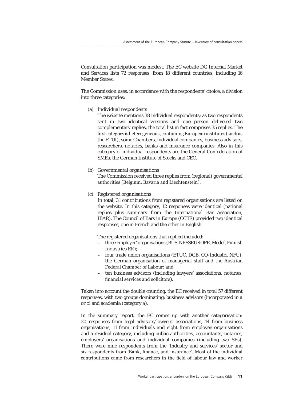Consultation participation was modest. The EC website DG Internal Market and Services lists 72 responses, from 18 different countries, including 16 Member States.

The Commission uses, in accordance with the respondents' choice, a division into three categories:

(a) *Individual respondents*

The website mentions 38 individual respondents; as two respondents sent in two identical versions and one person delivered two complementary replies, the total list in fact comprises 35 replies. The first category is heterogeneous, containing European institutes (such as the ETUI), some Chambers, individual companies, business advisors, researchers, notaries, banks and insurance companies. Also in this category of individual respondents are the General Confederation of SMEs, the German Institute of Stocks and CEC.

#### (b) *Governmental organisations*

The Commission received three replies from (regional) governmental authorities (Belgium, Bavaria and Liechtenstein).

#### (c) *Registered organisations*

In total, 31 contributions from registered organisations are listed on the website. In this category, 12 responses were identical (national replies plus summary from the International Bar Association, IBAR). The Council of Bars in Europe (CCBE) provided two identical responses, one in French and the other in English.

The registered organisations that replied included:

- **–** three employer' organisations (BUSINESSEUROPE, Medef, Finnish Industries EK);
- **–** four trade union organisations (ETUC, DGB, CO-Industri, NFU), the German organisation of managerial staff and the Austrian Federal Chamber of Labour; and
- **–** ten business advisors (including lawyers' associations, notaries, financial services and solicitors).

Taken into account the double counting, the EC received in total 57 different responses, with two groups dominating: business advisors (incorporated in *a* or *c*) and academia (category *a*).

In the summary report, the EC comes up with another categorisation: 20 responses from legal advisors/lawyers' associations, 14 from business organisations, 11 from individuals and eight from employee organisations and a residual category, including public authorities, accountants, notaries, employers' organisations and individual companies (including two SEs). There were nine respondents from the 'Industry and services' sector and six respondents from 'Bank, finance, and insurance'. Most of the individual contributions came from researchers in the field of labour law and worker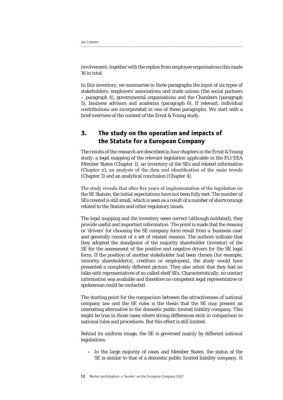| Jan Cremers |  |
|-------------|--|
|             |  |

involvement: together with the replies from employee organisations this made 16 in total.

In this inventory, we summarise in three paragraphs the input of six types of stakeholders: employers' associations and trade unions (the social partners – paragraph 4), governmental organisations and the Chambers (paragraph 5), business advisors and academia (paragraph 6). If relevant, individual contributions are incorporated in one of these paragraphs. We start with a brief overview of the content of the Ernst & Young study.

## **3. The study on the operation and impacts of the Statute for a European Company**

The results of the research are described in four chapters in the Ernst & Young study: a legal mapping of the relevant legislation applicable in the EU/EEA Member States (Chapter 1), an inventory of the SEs and related information (Chapter 2), an analysis of the data and identification of the main trends (Chapter 3) and an analytical conclusion (Chapter 4).

The study reveals that after five years of implementation of the legislation on the SE Statute, the initial expectations have not been fully met. The number of SEs created is still small, which is seen as a result of a number of shortcomings related to the Statute and other regulatory issues.

The legal mapping and the inventory seem correct (although outdated); they provide useful and important information. The point is made that the reasons or 'drivers' for choosing the SE company form result from a 'business case' and generally consist of a set of related reasons. The authors indicate that they adopted the standpoint of the majority shareholder (investor) of the SE for the assessment of the positive and negative drivers for the SE legal form. If the position of another stakeholder had been chosen (for example, minority shareholder(s), creditors or employees), the study would have presented a completely different picture. They also admit that they had no talks with representatives of so-called shelf SEs. Characteristically, no contact information was available and therefore no competent legal representative or spokesman could be contacted.

The starting point for the comparison between the attractiveness of national company law and the SE rules is the thesis that the SE may present an interesting alternative to the domestic public limited liability company. This might be true in those cases where strong differences exist in comparison to national rules and procedures. But this effect is still limited.

Behind its uniform image, the SE is governed mainly by different national legislations:

**–** In the large majority of cases and Member States, the status of the SE is similar to that of a domestic public limited liability company. It

**12** Worker participation: a 'burden' on the European Company (SE)?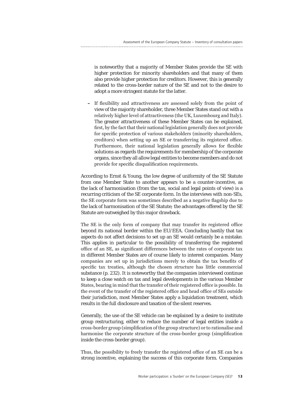is noteworthy that a majority of Member States provide the SE with higher protection for minority shareholders and that many of them also provide higher protection for creditors. However, this is generally related to the cross-border nature of the SE and not to the desire to adopt a more stringent statute for the latter.

**–** If flexibility and attractiveness are assessed solely from the point of view of the majority shareholder, three Member States stand out with a relatively higher level of attractiveness (the UK, Luxembourg and Italy). The greater attractiveness of these Member States can be explained, first, by the fact that their national legislation generally does not provide for specific protection of various stakeholders (minority shareholders, creditors) when setting up an SE or transferring its registered office. Furthermore, their national legislation generally allows for flexible solutions as regards the requirements for membership of the corporate organs, since they all allow legal entities to become members and do not provide for specific disqualification requirements.

According to Ernst & Young, the low degree of uniformity of the SE Statute from one Member State to another appears to be a counter-incentive, as the lack of harmonisation (from the tax, social and legal points of view) is a recurring criticism of the SE corporate form. In the interviews with non-SEs, the SE corporate form was sometimes described as a negative flagship due to the lack of harmonisation of the SE Statute; the advantages offered by the SE Statute are outweighed by this major drawback.

The SE is the only form of company that may transfer its registered office beyond its national border within the EU/EEA. Concluding hastily that tax aspects do not affect decisions to set up an SE would certainly be a mistake. This applies in particular to the possibility of transferring the registered office of an SE, as significant differences between the rates of corporate tax in different Member States are of course likely to interest companies. Many companies are set up in jurisdictions merely to obtain the tax benefits of specific tax treaties, although the chosen structure has little commercial substance (p. 232). It is noteworthy that the companies interviewed continue to keep a close watch on tax and legal developments in the various Member States, bearing in mind that the transfer of their registered office is possible. In the event of the transfer of the registered office and head office of SEs outside their jurisdiction, most Member States apply a liquidation treatment, which results in the full disclosure and taxation of the silent reserves.

Generally, the use of the SE vehicle can be explained by a desire to institute group restructuring, either to reduce the number of legal entities inside a cross-border group (simplification of the group structure) or to rationalise and harmonise the corporate structure of the cross-border group (simplification inside the cross-border group).

Thus, the possibility to freely transfer the registered office of an SE can be a strong incentive, explaining the success of this corporate form. Companies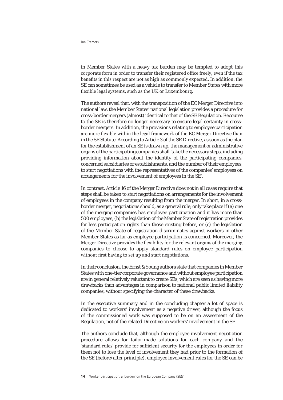| Jan Cremers |  |  |
|-------------|--|--|
|             |  |  |

in Member States with a heavy tax burden may be tempted to adopt this corporate form in order to transfer their registered office freely, even if the tax benefits in this respect are not as high as commonly expected. In addition, the SE can sometimes be used as a vehicle to transfer to Member States with more flexible legal systems, such as the UK or Luxembourg.

The authors reveal that, with the transposition of the EC Merger Directive into national law, the Member States' national legislation provides a procedure for cross-border mergers (almost) identical to that of the SE Regulation. Recourse to the SE is therefore no longer necessary to ensure legal certainty in crossborder mergers. In addition, the provisions relating to employee participation are more flexible within the legal framework of the EC Merger Directive than in the SE Statute. According to Article 3 of the SE Directive, as soon as the plan for the establishment of an SE is drawn up, the management or administrative organs of the participating companies shall 'take the necessary steps, including providing information about the identity of the participating companies, concerned subsidiaries or establishments, and the number of their employees, to start negotiations with the representatives of the companies' employees on arrangements for the involvement of employees in the SE'.

In contrast, Article 16 of the Merger Directive does not in all cases require that steps shall be taken to start negotiations on arrangements for the involvement of employees in the company resulting from the merger. In short, in a crossborder merger, negotiations should, as a general rule, only take place if (a) one of the merging companies has employee participation and it has more than 500 employees, (b) the legislation of the Member State of registration provides for less participation rights than those existing before, or (c) the legislation of the Member State of registration discriminates against workers in other Member States as far as employee participation is concerned. Moreover, the Merger Directive provides the flexibility for the relevant organs of the merging companies to choose to apply standard rules on employee participation without first having to set up and start negotiations.

In their conclusion, the Ernst & Young authors state that companies in Member States with one-tier corporate governance and without employee participation are in general relatively reluctant to create SEs, which are seen as having more drawbacks than advantages in comparison to national public limited liability companies, without specifying the character of these drawbacks.

In the executive summary and in the concluding chapter a lot of space is dedicated to workers' involvement as a negative driver, although the focus of the commissioned work was supposed to be on an assessment of the Regulation, not of the related Directive on workers' involvement in the SE.

The authors conclude that, although the employee involvement negotiation procedure allows for tailor-made solutions for each company and the 'standard rules' provide for sufficient security for the employees in order for them not to lose the level of involvement they had prior to the formation of the SE (before/after principle), employee involvement rules for the SE can be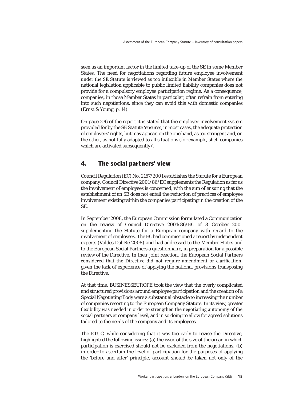seen as an important factor in the limited take-up of the SE in some Member States. The need for negotiations regarding future employee involvement under the SE Statute is viewed as too inflexible in Member States where the national legislation applicable to public limited liability companies does not provide for a compulsory employee participation regime. As a consequence, companies, in those Member States in particular, often refrain from entering into such negotiations, since they can avoid this with domestic companies (Ernst & Young, p. 14).

On page 276 of the report it is stated that the employee involvement system provided for by the SE Statute 'ensures, in most cases, the adequate protection of employees' rights, but may appear, on the one hand, as too stringent and, on the other, as not fully adapted to all situations (for example, shelf companies which are activated subsequently)'.

### **4. The social partners' view**

Council Regulation (EC) No. 2157/2001 establishes the Statute for a European company. Council Directive 2001/86/EC supplements the Regulation as far as the involvement of employees is concerned, with the aim of ensuring that the establishment of an SE does not entail the reduction of practices of employee involvement existing within the companies participating in the creation of the SE.

In September 2008, the European Commission formulated a Communication on the review of Council Directive 2001/86/EC of 8 October 2001 supplementing the Statute for a European company with regard to the involvement of employees. The EC had commissioned a report by independent experts (Valdés Dal-Ré 2008) and had addressed to the Member States and to the European Social Partners a questionnaire, in preparation for a possible review of the Directive. In their joint reaction, the European Social Partners considered that the Directive did not require amendment or clarification, given the lack of experience of applying the national provisions transposing the Directive.

At that time, BUSINESSEUROPE took the view that the overly complicated and structured provisions around employee participation and the creation of a Special Negotiating Body were a substantial obstacle to increasing the number of companies resorting to the European Company Statute. In its view, greater flexibility was needed in order to strengthen the negotiating autonomy of the social partners at company level, and in so doing to allow for agreed solutions tailored to the needs of the company and its employees.

The ETUC, while considering that it was too early to revise the Directive, highlighted the following issues: (a) the issue of the size of the organ in which participation is exercised should not be excluded from the negotiations; (b) in order to ascertain the level of participation for the purposes of applying the 'before and after' principle, account should be taken not only of the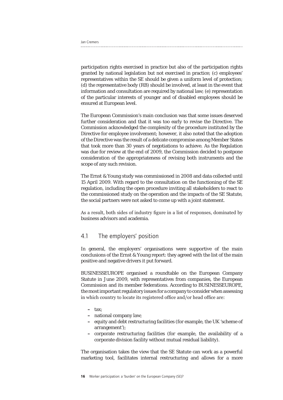| Jan Cremers |  |
|-------------|--|
|             |  |

participation rights exercised in practice but also of the participation rights granted by national legislation but not exercised in practice; (c) employees' representatives within the SE should be given a uniform level of protection; (d) the representative body (RB) should be involved, at least in the event that information and consultation are required by national law; (e) representation of the particular interests of younger and of disabled employees should be ensured at European level.

The European Commission's main conclusion was that some issues deserved further consideration and that it was too early to revise the Directive. The Commission acknowledged the complexity of the procedure instituted by the Directive for employee involvement; however, it also noted that the adoption of the Directive was the result of a delicate compromise among Member States that took more than 30 years of negotiations to achieve. As the Regulation was due for review at the end of 2009, the Commission decided to postpone consideration of the appropriateness of revising both instruments and the scope of any such revision.

The Ernst & Young study was commissioned in 2008 and data collected until 15 April 2009. With regard to the consultation on the functioning of the SE regulation, including the open procedure inviting all stakeholders to react to the commissioned study on the operation and the impacts of the SE Statute, the social partners were not asked to come up with a joint statement.

As a result, both sides of industry figure in a list of responses, dominated by business advisors and academia.

#### 4.1 The employers' position

In general, the employers' organisations were supportive of the main conclusions of the Ernst & Young report: they agreed with the list of the main positive and negative drivers it put forward.

BUSINESSEUROPE organised a roundtable on the European Company Statute in June 2009, with representatives from companies, the European Commission and its member federations. According to BUSINESSEUROPE, the most important regulatory issues for a company to consider when assessing in which country to locate its registered office and/or head office are:

**–** tax;

- **–** national company law;
- **–** equity and debt restructuring facilities (for example, the UK 'scheme of arrangement');
- **–** corporate restructuring facilities (for example, the availability of a corporate division facility without mutual residual liability).

The organisation takes the view that the SE Statute can work as a powerful marketing tool, facilitates internal restructuring and allows for a more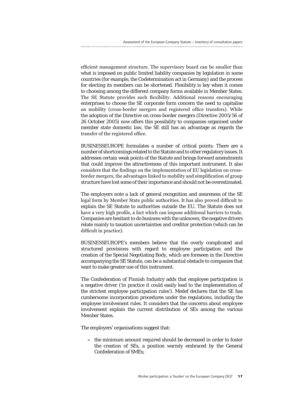efficient management structure. The supervisory board can be smaller than what is imposed on public limited liability companies by legislation in some countries (for example, the Codetermination act in Germany) and the process for electing its members can be shortened. Flexibility is key when it comes to choosing among the different company forms available in Member States. The SE Statute provides such flexibility. Additional reasons encouraging enterprises to choose the SE corporate form concern the need to capitalise on mobility (cross-border mergers and registered office transfers). While the adoption of the Directive on cross-border mergers (Directive 2005/56 of 26 October 2005) now offers this possibility to companies organised under member state domestic law, the SE still has an advantage as regards the transfer of the registered office.

BUSINESSEUROPE formulates a number of critical points: There are a number of shortcomings related to the Statute and to other regulatory issues. It addresses certain weak points of the Statute and brings forward amendments that could improve the attractiveness of this important instrument. It also considers that the findings on the implementation of EU legislation on crossborder mergers, the advantages linked to mobility and simplification of group structure have lost some of their importance and should not be overestimated.

The employers note a lack of general recognition and awareness of the SE legal form by Member State public authorities. It has also proved difficult to explain the SE Statute to authorities outside the EU. The Statute does not have a very high profile, a fact which can impose additional barriers to trade. Companies are hesitant to do business with the unknown; the negative drivers relate mainly to taxation uncertainties and creditor protection (which can be difficult in practice).

BUSINESSEUROPE's members believe that the overly complicated and structured provisions with regard to employee participation and the creation of the Special Negotiating Body, which are foreseen in the Directive accompanying the SE Statute, can be a substantial obstacle to companies that want to make greater use of this instrument.

The Confederation of Finnish Industry adds that employee participation is a negative driver ('in practice it could easily lead to the implementation of the strictest employee participation rules'). Medef declares that the SE has cumbersome incorporation procedures under the regulations, including the employee involvement rules. It considers that the concerns about employee involvement explain the current distribution of SEs among the various Member States.

The employers' organisations suggest that:

**–** the minimum amount required should be decreased in order to foster the creation of SEs, a position warmly embraced by the General Confederation of SMEs;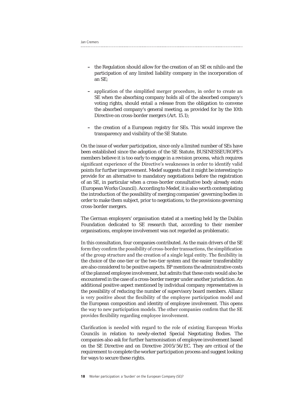| Jan Cremers |  |
|-------------|--|
|             |  |

- **–** the Regulation should allow for the creation of an SE ex nihilo and the participation of any limited liability company in the incorporation of an SE;
- **–** application of the simplified merger procedure, in order to create an SE when the absorbing company holds all of the absorbed company's voting rights, should entail a release from the obligation to convene the absorbed company's general meeting, as provided for by the 10th Directive on cross-border mergers (Art. 15.1);
- **–** the creation of a European registry for SEs. This would improve the transparency and visibility of the SE Statute.

On the issue of worker participation, since only a limited number of SEs have been established since the adoption of the SE Statute, BUSINESSEUROPE's members believe it is too early to engage in a revision process, which requires significant experience of the Directive's weaknesses in order to identify valid points for further improvement. Medef suggests that it might be interesting to provide for an alternative to mandatory negotiations before the registration of an SE, in particular when a cross-border consultative body already exists (European Works Council). According to Medef, it is also worth contemplating the introduction of the possibility of merging companies' governing bodies in order to make them subject, prior to negotiations, to the provisions governing cross-border mergers.

The German employers' organisation stated at a meeting held by the Dublin Foundation dedicated to SE research that, according to their member organisations, employee involvement was not regarded as problematic.

In this consultation, four companies contributed. As the main drivers of the SE form they confirm the possibility of cross-border transactions, the simplification of the group structure and the creation of a single legal entity. The flexibility in the choice of the one-tier or the two-tier system and the easier transferability are also considered to be positive aspects. BP mentions the administrative costs of the planned employee involvement, but admits that these costs would also be encountered in the case of a cross-border merger under another jurisdiction. An additional positive aspect mentioned by individual company representatives is the possibility of reducing the number of supervisory board members. Allianz is very positive about the flexibility of the employee participation model and the European composition and identity of employee involvement. This opens the way to new participation models. The other companies confirm that the SE provides flexibility regarding employee involvement.

Clarification is needed with regard to the role of existing European Works Councils in relation to newly-elected Special Negotiating Bodies. The companies also ask for further harmonisation of employee involvement based on the SE Directive and on Directive 2005/56/EC. They are critical of the requirement to complete the worker participation process and suggest looking for ways to secure these rights.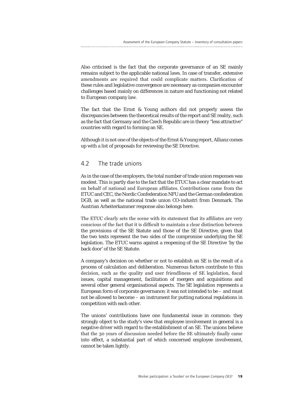Also criticised is the fact that the corporate governance of an SE mainly remains subject to the applicable national laws. In case of transfer, extensive amendments are required that could complicate matters. Clarification of these rules and legislative convergence are necessary as companies encounter challenges based mainly on differences in nature and functioning not related to European company law.

The fact that the Ernst & Young authors did not properly assess the discrepancies between the theoretical results of the report and SE reality, such as the fact that Germany and the Czech Republic are in theory "less attractive" countries with regard to forming an SE.

Although it is not one of the objects of the Ernst & Young report, Allianz comes up with a list of proposals for reviewing the SE Directive.

#### 4.2 The trade unions

As in the case of the employers, the total number of trade union responses was modest. This is partly due to the fact that the ETUC has a clear mandate to act on behalf of national and European affiliates. Contributions came from the ETUC and CEC, the Nordic Confederation NFU and the German confederation DGB, as well as the national trade union CO-industri from Denmark. The Austrian Arbeiterkammer response also belongs here.

The ETUC clearly sets the scene with its statement that its affiliates are very conscious of the fact that it is difficult to maintain a clear distinction between the provisions of the SE Statute and those of the SE Directive, given that the two texts represent the two sides of the compromise underlying the SE legislation. The ETUC warns against a reopening of the SE Directive 'by the back door' of the SE Statute.

A company's decision on whether or not to establish an SE is the result of a process of calculation and deliberation. Numerous factors contribute to this decision, such as the quality and user friendliness of SE legislation, fiscal issues, capital management, facilitation of mergers and acquisitions and several other general organisational aspects. The SE legislation represents a European form of corporate governance; it was not intended to be – and must not be allowed to become – an instrument for putting national regulations in competition with each other.

The unions' contributions have one fundamental issue in common: they strongly object to the study's view that employee involvement in general is a negative driver with regard to the establishment of an SE. The unions believe that the 30 years of discussion needed before the SE ultimately finally came into effect, a substantial part of which concerned employee involvement, cannot be taken lightly.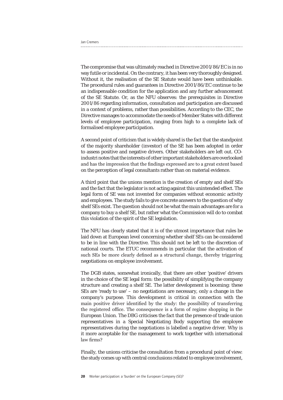The compromise that was ultimately reached in Directive 2001/86/EC is in no way futile or incidental. On the contrary, it has been very thoroughly designed. Without it, the realisation of the SE Statute would have been unthinkable. The procedural rules and guarantees in Directive 2001/86/EC continue to be an indispensable condition for the application and any further advancement of the SE Statute. Or, as the NFU observes: the prerequisites in Directive 2001/86 regarding information, consultation and participation are discussed in a context of problems, rather than possibilities. According to the CEC, the Directive manages to accommodate the needs of Member States with different levels of employee participation, ranging from high to a complete lack of formalised employee participation.

A second point of criticism that is widely shared is the fact that the standpoint of the majority shareholder (investor) of the SE has been adopted in order to assess positive and negative drivers. Other stakeholders are left out. COindustri notes that the interests of other important stakeholders are overlooked and has the impression that the findings expressed are to a great extent based on the perception of legal consultants rather than on material evidence.

A third point that the unions mention is the creation of empty and shelf SEs and the fact that the legislator is not acting against this unintended effect. The legal form of SE was not invented for companies without economic activity and employees. The study fails to give concrete answers to the question of why shelf SEs exist. The question should not be what the main advantages are for a company to buy a shelf SE, but rather what the Commission will do to combat this violation of the spirit of the SE legislation.

The NFU has clearly stated that it is of the utmost importance that rules be laid down at European level concerning whether shelf SEs can be considered to be in line with the Directive. This should not be left to the discretion of national courts. The ETUC recommends in particular that the activation of such SEs be more clearly defined as a structural change, thereby triggering negotiations on employee involvement.

The DGB states, somewhat ironically, that there are other 'positive' drivers in the choice of the SE legal form: the possibility of simplifying the company structure and creating a shelf SE. The latter development is booming: these SEs are 'ready to use' – no negotiations are necessary, only a change in the company's purpose. This development is critical in connection with the main positive driver identified by the study: the possibility of transferring the registered office. The consequence is a form of regime shopping in the European Union. The DBG criticises the fact that the presence of trade union representatives in a Special Negotiating Body supporting the employee representatives during the negotiations is labelled a negative driver. Why is it more acceptable for the management to work together with international law firms?

Finally, the unions criticise the consultation from a procedural point of view: the study comes up with central conclusions related to employee involvement,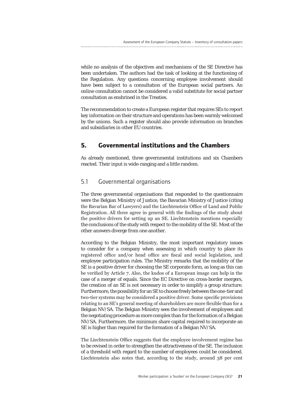while no analysis of the objectives and mechanisms of the SE Directive has been undertaken. The authors had the task of looking at the functioning of the Regulation. Any questions concerning employee involvement should have been subject to a consultation of the European social partners. An online consultation cannot be considered a valid substitute for social partner consultation as enshrined in the Treaties.

The recommendation to create a European register that requires SEs to report key information on their structure and operations has been warmly welcomed by the unions. Such a register should also provide information on branches and subsidiaries in other EU countries.

## **5. Governmental institutions and the Chambers**

As already mentioned, three governmental institutions and six Chambers reacted. Their input is wide-ranging and a little random.

#### 5.1 Governmental organisations

The three governmental organisations that responded to the questionnaire were the Belgian Ministry of Justice, the Bavarian Ministry of Justice (citing the Bavarian Bar of Lawyers) and the Liechtenstein Office of Land and Public Registration. All three agree in general with the findings of the study about the positive drivers for setting up an SE. Liechtenstein mentions especially the conclusions of the study with respect to the mobility of the SE. Most of the other answers diverge from one another.

According to the Belgian Ministry, the most important regulatory issues to consider for a company when assessing in which country to place its registered office and/or head office are fiscal and social legislation, and employee participation rules. The Ministry remarks that the mobility of the SE is a positive driver for choosing the SE corporate form, as long as this can be verified by Article 7. Also, the kudos of a European image can help in the case of a merger of equals. Since the EC Directive on cross-border mergers, the creation of an SE is not necessary in order to simplify a group structure. Furthermore, the possibility for an SE to choose freely between the one-tier and two-tier systems may be considered a positive driver. Some specific provisions relating to an SE's general meeting of shareholders are more flexible than for a Belgian NV/SA. The Belgian Ministry sees the involvement of employees and the negotiating procedure as more complex than for the formation of a Belgian NV/SA. Furthermore, the minimum share capital required to incorporate an SE is higher than required for the formation of a Belgian NV/SA.

The Liechtenstein Office suggests that the employee involvement regime has to be revised in order to strengthen the attractiveness of the SE. The inclusion of a threshold with regard to the number of employees could be considered. Liechtenstein also notes that, according to the study, around 38 per cent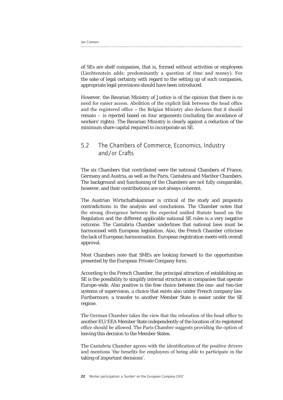Jan Cremers

of SEs are shelf companies, that is, formed without activities or employees (Liechtenstein adds: predominantly a question of time and money). For the sake of legal certainty with regard to the setting up of such companies, appropriate legal provisions should have been introduced.

However, the Bavarian Ministry of Justice is of the opinion that there is no need for easier access. Abolition of the explicit link between the head office and the registered office – the Belgian Ministry also declares that it should remain – is rejected based on four arguments (including the avoidance of workers' rights). The Bavarian Ministry is clearly against a reduction of the minimum share capital required to incorporate an SE.

## 5.2 The Chambers of Commerce, Economics, Industry and/or Crafts

The six Chambers that contributed were the national Chambers of France, Germany and Austria, as well as the Paris, Cantabria and Maribor Chambers. The background and functioning of the Chambers are not fully comparable, however, and their contributions are not always coherent.

The Austrian Wirtschaftskammer is critical of the study and pinpoints contradictions in the analysis and conclusions. The Chamber notes that the strong divergence between the expected unified Statute based on the Regulation and the different applicable national SE rules is a very negative outcome. The Cantabria Chamber underlines that national laws must be harmonised with European legislation. Also, the French Chamber criticises the lack of European harmonisation. European registration meets with overall approval.

Most Chambers note that SMEs are looking forward to the opportunities presented by the European Private Company form.

According to the French Chamber, the principal attraction of establishing an SE is the possibility to simplify internal structures in companies that operate Europe-wide. Also positive is the free choice between the one- and two-tier systems of supervision, a choice that exists also under French company law. Furthermore, a transfer to another Member State is easier under the SE regime.

The German Chamber takes the view that the relocation of the head office to another EU/EEA Member State independently of the location of its registered office should be allowed. The Paris Chamber suggests providing the option of leaving this decision to the Member States.

The Cantabria Chamber agrees with the identification of the positive drivers and mentions 'the benefits for employees of being able to participate in the taking of important decisions'.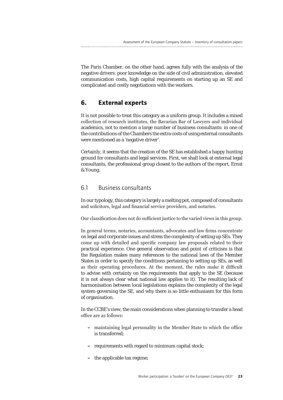The Paris Chamber, on the other hand, agrees fully with the analysis of the negative drivers: poor knowledge on the side of civil administration, elevated communication costs, high capital requirements on starting up an SE and complicated and costly negotiations with the workers.

### **6. External experts**

It is not possible to treat this category as a uniform group. It includes a mixed collection of research institutes, the Bavarian Bar of Lawyers and individual academics, not to mention a large number of business consultants: in one of the contributions of the Chambers the extra costs of using external consultants were mentioned as a 'negative driver'.

Certainly, it seems that the creation of the SE has established a happy hunting ground for consultants and legal services. First, we shall look at external legal consultants, the professional group closest to the authors of the report, Ernst & Young.

#### 6.1 Business consultants

In our typology, this category is largely a melting pot, composed of consultants and solicitors, legal and financial service providers, and notaries.

Our classification does not do sufficient justice to the varied views in this group.

In general terms, notaries, accountants, advocates and law firms concentrate on legal and corporate issues and stress the complexity of setting up SEs. They come up with detailed and specific company law proposals related to their practical experience. One general observation and point of criticism is that the Regulation makes many references to the national laws of the Member States in order to specify the conditions pertaining to setting up SEs, as well as their operating procedures. At the moment, the rules make it difficult to advise with certainty on the requirements that apply to the SE (because it is not always clear what national law applies to it). The resulting lack of harmonisation between local legislations explains the complexity of the legal system governing the SE, and why there is so little enthusiasm for this form of organisation.

In the CCBE's view, the main considerations when planning to transfer a head office are as follows:

- **–** maintaining legal personality in the Member State to which the office is transferred;
- **–** requirements with regard to minimum capital stock;
- **–** the applicable tax regime;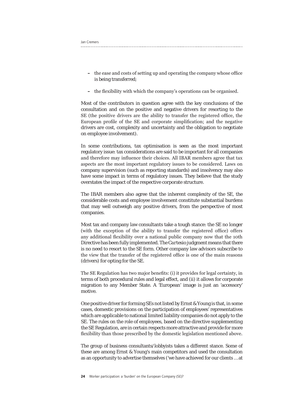- **–** the ease and costs of setting up and operating the company whose office is being transferred;
- **–** the flexibility with which the company's operations can be organised.

Most of the contributors in question agree with the key conclusions of the consultation and on the positive and negative drivers for resorting to the SE (the positive drivers are the ability to transfer the registered office, the European profile of the SE and corporate simplification; and the negative drivers are cost, complexity and uncertainty and the obligation to negotiate on employee involvement).

In some contributions, tax optimisation is seen as the most important regulatory issue: tax considerations are said to be important for all companies and therefore may influence their choices. All IBAR members agree that tax aspects are the most important regulatory issues to be considered. Laws on company supervision (such as reporting standards) and insolvency may also have some impact in terms of regulatory issues. They believe that the study overstates the impact of the respective corporate structure.

The IBAR members also agree that the inherent complexity of the SE, the considerable costs and employee involvement constitute substantial burdens that may well outweigh any positive drivers, from the perspective of most companies.

Most tax and company law consultants take a tough stance: the SE no longer (with the exception of the ability to transfer the registered office) offers any additional flexibility over a national public company now that the 10th Directive has been fully implemented. The *Cartesio* judgment means that there is no need to resort to the SE form. Other company law advisors subscribe to the view that the transfer of the registered office is one of the main reasons (drivers) for opting for the SE.

The SE Regulation has two major benefits: (i) it provides for legal certainty, in terms of both procedural rules and legal effect, and (ii) it allows for corporate migration to any Member State. A 'European' image is just an 'accessory' motive.

One positive driver for forming SEs not listed by Ernst & Young is that, in some cases, domestic provisions on the participation of employees' representatives which are applicable to national limited liability companies do not apply to the SE. The rules on the role of employees, based on the directive supplementing the SE Regulation, are in certain respects more attractive and provide for more flexibility than those prescribed by the domestic legislation mentioned above.

The group of business consultants/lobbyists takes a different stance. Some of these are among Ernst & Young's main competitors and used the consultation as an opportunity to advertise themselves ('we have achieved for our clients … at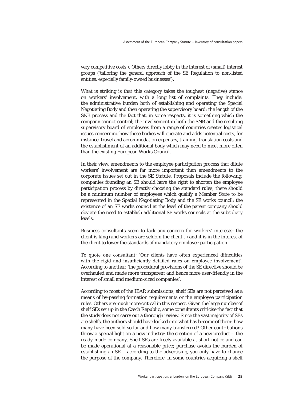very competitive costs'). Others directly lobby in the interest of (small) interest groups ('tailoring the general approach of the SE Regulation to non-listed entities, especially family-owned businesses').

What is striking is that this category takes the toughest (negative) stance on workers' involvement, with a long list of complaints. They include: the administrative burden both of establishing and operating the Special Negotiating Body and then operating the supervisory board; the length of the SNB process and the fact that, in some respects, it is something which the company cannot control; the involvement in both the SNB and the resulting supervisory board of employees from a range of countries creates logistical issues concerning how these bodies will operate and adds potential costs, for instance, travel and accommodation expenses, training, translation costs and the establishment of an additional body which may need to meet more often than the existing European Works Council.

In their view, amendments to the employee participation process that dilute workers' involvement are far more important than amendments to the corporate issues set out in the SE Statute. Proposals include the following: companies founding an SE should have the right to shorten the employee participation process by directly choosing the standard rules; there should be a minimum number of employees which qualify a Member State to be represented in the Special Negotiating Body and the SE works council; the existence of an SE works council at the level of the parent company should obviate the need to establish additional SE works councils at the subsidiary levels

Business consultants seem to lack any concern for workers' interests: the client is king (and workers are seldom the client…) and it is in the interest of the client to lower the standards of mandatory employee participation.

To quote one consultant: 'Our clients have often experienced difficulties with the rigid and insufficiently detailed rules on employee involvement'. According to another: 'the procedural provisions of the SE directive should be overhauled and made more transparent and hence more user-friendly in the interest of small and medium-sized companies'.

According to most of the IBAR submissions, shelf SEs are not perceived as a means of by-passing formation requirements or the employee participation rules. Others are much more critical in this respect. Given the large number of shelf SEs set up in the Czech Republic, some consultants criticise the fact that the study does not carry out a thorough review. Since the vast majority of SEs are shelfs, the authors should have looked into what has become of them: how many have been sold so far and how many transferred? Other contributions throw a special light on a new industry: the creation of a new product – the ready-made company. Shelf SEs are freely available at short notice and can be made operational at a reasonable price; purchase avoids the burden of establishing an SE – according to the advertising, you only have to change the purpose of the company. Therefore, in some countries acquiring a shelf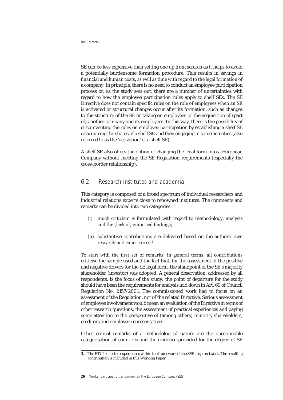SE can be less expensive than setting one up from scratch as it helps to avoid a potentially burdensome formation procedure. This results in savings in financial and human costs, as well as time with regard to the legal formation of a company. In principle, there is no need to conduct an employee participation process or, as the study sets out, there are a number of uncertainties with regard to how the employee participation rules apply to shelf SEs. The SE Directive does not contain specific rules on the role of employees when an SE is activated or structural changes occur after its formation, such as changes to the structure of the SE or taking on employees or the acquisition of (part of) another company and its employees. In this way, there is the possibility of circumventing the rules on employee participation by establishing a shelf SE or acquiring the shares of a shelf SE and then engaging in some activities (also referred to as the 'activation' of a shelf SE).

A shelf SE also offers the option of changing the legal form into a European Company without meeting the SE Regulation requirements (especially the cross-border relationship).

### 6.2 Research institutes and academia

This category is composed of a broad spectrum of individual researchers and industrial relations experts close to renowned institutes. The comments and remarks can be divided into two categories:

- (i) much criticism is formulated with regard to methodology, analysis and the (lack of) empirical findings;
- (ii) substantive contributions are delivered based on the authors' own research and experiences.3

To start with the first set of remarks: in general terms, all contributions criticise the sample used and the fact that, for the assessment of the positive and negative drivers for the SE legal form, the standpoint of the SE's majority shareholder (investor) was adopted. A general observation, addressed by all respondents, is the focus of the study: the point of departure for the study should have been the requirements for analysis laid down in Art. 69 of Council Regulation No. 2157/2001. The commissioned work had to focus on an assessment of the Regulation, not of the related Directive. Serious assessment of employee involvement would mean an evaluation of the Directive in terms of other research questions, the assessment of practical experiences and paying some attention to the perspective of (among others) minority shareholders, creditors and employee representatives.

Other critical remarks of a methodological nature are the questionable categorisation of countries and the evidence provided for the degree of SE

**<sup>3.</sup>** The ETUI collected experiences within the framework of the SEEurope network. The resulting contribution is included in this Working Paper.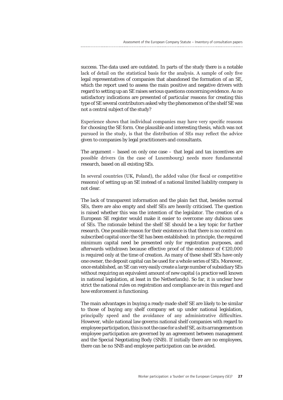success. The data used are outdated. In parts of the study there is a notable lack of detail on the statistical basis for the analysis. A sample of only five legal representatives of companies that abandoned the formation of an SE, which the report used to assess the main positive and negative drivers with regard to setting up an SE raises serious questions concerning evidence. As no satisfactory indications are presented of particular reasons for creating this type of SE several contributors asked why the phenomenon of the shelf SE was not a central subject of the study?

Experience shows that individual companies may have very specific reasons for choosing the SE form. One plausible and interesting thesis, which was not pursued in the study, is that the distribution of SEs may reflect the advice given to companies by legal practitioners and consultants.

The argument – based on only one case – that legal and tax incentives are possible drivers (in the case of Luxembourg) needs more fundamental research, based on all existing SEs.

In several countries (UK, Poland), the added value (for fiscal or competitive reasons) of setting up an SE instead of a national limited liability company is not clear.

The lack of transparent information and the plain fact that, besides normal SEs, there are also empty and shelf SEs are heavily criticised. The question is raised whether this was the intention of the legislator. The creation of a European SE register would make it easier to overcome any dubious uses of SEs. The rationale behind the shelf SE should be a key topic for further research. One possible reason for their existence is that there is no control on subscribed capital once the SE has been established: in principle, the required minimum capital need be presented only for registration purposes, and afterwards withdrawn because effective proof of the existence of €120,000 is required only at the time of creation. As many of these shelf SEs have only one owner, the deposit capital can be used for a whole series of SEs. Moreover, once established, an SE can very easily create a large number of subsidiary SEs without requiring an equivalent amount of new capital (a practice well known in national legislation, at least in the Netherlands). So far, it is unclear how strict the national rules on registration and compliance are in this regard and how enforcement is functioning.

The main advantages in buying a ready-made shelf SE are likely to be similar to those of buying any shelf company set up under national legislation, principally speed and the avoidance of any administrative difficulties. However, while national law governs national shelf companies with regard to employee participation, this is not the case for a shelf SE, as its arrangements on employee participation are governed by an agreement between management and the Special Negotiating Body (SNB). If initially there are no employees, there can be no SNB and employee participation can be avoided.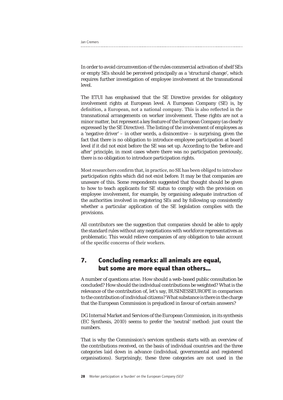| Jan Cremers |  |
|-------------|--|
|             |  |

In order to avoid circumvention of the rules commercial activation of shelf SEs or empty SEs should be perceived principally as a 'structural change', which requires further investigation of employee involvement at the transnational level.

The ETUI has emphasised that the SE Directive provides for obligatory involvement rights at European level. A European Company (SE) is, by definition, a European, not a national company. This is also reflected in the transnational arrangements on worker involvement. These rights are not a minor matter, but represent a key feature of the European Company (as clearly expressed by the SE Directive). The listing of the involvement of employees as a 'negative driver' – in other words, a disincentive – is surprising, given the fact that there is no obligation to introduce employee participation at board level if it did not exist before the SE was set up. According to the 'before and after' principle, in most cases where there was no participation previously, there is no obligation to introduce participation rights.

Most researchers confirm that, in practice, no SE has been obliged to introduce participation rights which did not exist before. It may be that companies are unaware of this. Some respondents suggested that thought should be given to how to teach applicants for SE status to comply with the provision on employee involvement, for example, by organising adequate instruction of the authorities involved in registering SEs and by following up consistently whether a particular application of the SE legislation complies with the provisions.

All contributors see the suggestion that companies should be able to apply the standard rules without any negotiations with workforce representatives as problematic. This would relieve companies of any obligation to take account of the specific concerns of their workers.

## **7. Concluding remarks: all animals are equal, but some are more equal than others…**

A number of questions arise. How should a web-based public consultation be concluded? How should the individual contributions be weighted? What is the relevance of the contribution of, let's say, BUSINESSEUROPE in comparison to the contribution of individual citizens? What substance is there in the charge that the European Commission is prejudiced in favour of certain answers?

DG Internal Market and Services of the European Commission, in its synthesis (EC Synthesis, 2010) seems to prefer the 'neutral' method: just count the numbers.

That is why the Commission's services synthesis starts with an overview of the contributions received, on the basis of individual countries and the three categories laid down in advance (individual, governmental and registered organisations). Surprisingly, these three categories are not used in the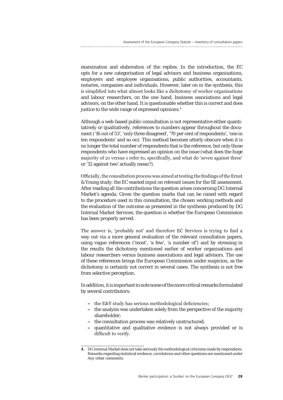examination and elaboration of the replies. In the introduction, the EC opts for a new categorisation of legal advisors and business organisations, employers and employee organisations, public authorities, accountants, notaries, companies and individuals. However, later on in the synthesis, this is simplified into what almost looks like a dichotomy of worker organisations and labour researchers, on the one hand, business associations and legal advisors, on the other hand. It is questionable whether this is correct and does justice to the wide range of expressed opinions.<sup>4</sup>

Although a web-based public consultation is not representative either quantitatively or qualitatively, references to numbers appear throughout the document ('16 out of 53', 'only three disagreed', '70 per cent of respondents', 'one in ten respondents' and so on). This method becomes utterly obscure when it is no longer the total number of respondents that is the reference, but only those respondents who have expressed an opinion on the issue (what does the huge majority of 21 versus 1 refer to, specifically, and what do 'seven against three' or '12 against two' actually mean?).

Officially, the consultation process was aimed at testing the findings of the Ernst & Young study; the EC wanted input on relevant issues for the SE assessment. After reading all the contributions the question arises concerning DG Internal Market's agenda. Given the question marks that can be raised with regard to the procedure used in this consultation, the chosen working methods and the evaluation of the outcome as presented in the synthesis produced by DG Internal Market Services, the question is whether the European Commission has been properly served.

The answer is, 'probably not' and therefore EC Services is trying to find a way out via a more general evaluation of the relevant consultation papers, using vague references ('most', 'a few', 'a number of') and by stressing in the results the dichotomy mentioned earlier of worker organisations and labour researchers versus business associations and legal advisors. The use of these references brings the European Commission under suspicion, as the dichotomy is certainly not correct in several cases. The synthesis is not free from selective perception.

In addition, it is important to note some of the more critical remarks formulated by several contributors:

- **–** the E&Y study has serious methodological deficiencies;
- **–** the analysis was undertaken solely from the perspective of the majority shareholder;
- **–** the consultation process was relatively unstructured;
- **–** quantitative and qualitative evidence is not always provided or is difficult to verify.

**<sup>4.</sup>** DG Internal Market does not take seriously the methodological criticisms made by respondents. Remarks regarding statistical evidence, correlations and other questions are mentioned under *Any other comments*.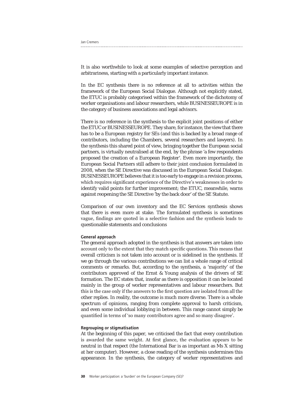Jan Cremers

It is also worthwhile to look at some examples of selective perception and arbitrariness, starting with a particularly important instance.

In the EC synthesis there is no reference at all to activities within the framework of the European Social Dialogue. Although not explicitly stated, the ETUC is probably categorised within the framework of the dichotomy of worker organisations and labour researchers, while BUSINESSEUROPE is in the category of business associations and legal advisors.

There is no reference in the synthesis to the explicit joint positions of either the ETUC or BUSINESSEUROPE. They share, for instance, the view that there has to be a European registry for SEs (and this is backed by a broad range of contributors, including the Chambers, several researchers and lawyers). In the synthesis this shared point of view, bringing together the European social partners, is virtually neutralised at the end, by the phrase 'a few respondents proposed the creation of a European Register'. Even more importantly, the European Social Partners still adhere to their joint conclusion formulated in 2008, when the SE Directive was discussed in the European Social Dialogue. BUSINESSEUROPE believes that it is too early to engage in a revision process, which requires significant experience of the Directive's weaknesses in order to identify valid points for further improvement; the ETUC, meanwhile, warns against reopening the SE Directive 'by the back door' of the SE Statute.

Comparison of our own inventory and the EC Services synthesis shows that there is even more at stake. The formulated synthesis is sometimes vague, findings are quoted in a selective fashion and the synthesis leads to questionable statements and conclusions

#### General approach

The general approach adopted in the synthesis is that answers are taken into account only to the extent that they match specific questions. This means that overall criticism is not taken into account or is sidelined in the synthesis. If we go through the various contributions we can list a whole range of critical comments or remarks. But, according to the synthesis, a 'majority' of the contributors approved of the Ernst & Young analysis of the drivers of SE formation. The EC states that, insofar as there is opposition it can be located mainly in the group of worker representatives and labour researchers. But this is the case only if the answers to the first question are isolated from all the other replies. In reality, the outcome is much more diverse. There is a whole spectrum of opinions, ranging from complete approval to harsh criticism, and even some individual lobbying in between. This range cannot simply be quantified in terms of 'so many contributors agree and so many disagree'.

#### Regrouping or stigmatisation

At the beginning of this paper, we criticised the fact that every contribution is awarded the same weight. At first glance, the evaluation appears to be neutral in that respect (the International Bar is as important as Ms X sitting at her computer). However, a close reading of the synthesis undermines this appearance. In the synthesis, the category of worker representatives and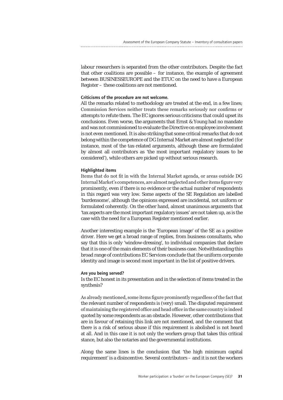labour researchers is separated from the other contributors. Despite the fact that other coalitions are possible  $-$  for instance, the example of agreement between BUSINESSEUROPE and the ETUC on the need to have a European Register – these coalitions are not mentioned.

#### Criticisms of the procedure are not welcome.

All the remarks related to methodology are treated at the end, in a few lines; Commission Services neither treats these remarks seriously nor confirms or attempts to refute them. The EC ignores serious criticisms that could upset its conclusions. Even worse, the arguments that Ernst & Young had no mandate and was not commissioned to evaluate the Directive on employee involvement is not even mentioned. It is also striking that some critical remarks that do not belong within the competence of DG Internal Market are almost neglected (for instance, most of the tax-related arguments, although these are formulated by almost all contributors as 'the most important regulatory issues to be considered'), while others are picked up without serious research.

#### Highlighted items

Items that do not fit in with the Internal Market agenda, or areas outside DG Internal Market's competences, are almost neglected and other items figure very prominently, even if there is no evidence or the actual number of respondents in this regard was very low. Some aspects of the SE Regulation are labelled 'burdensome', although the opinions expressed are incidental, not uniform or formulated coherently. On the other hand, almost unanimous arguments that 'tax aspects are the most important regulatory issues' are not taken up, as is the case with the need for a European Register mentioned earlier.

Another interesting example is the 'European image' of the SE as a positive driver. Here we get a broad range of replies, from business consultants, who say that this is only 'window-dressing', to individual companies that declare that it is one of the main elements of their business case. Notwithstanding this broad range of contributions EC Services conclude that the uniform corporate identity and image is second most important in the list of positive drivers.

#### Are you being served?

Is the EC honest in its presentation and in the selection of items treated in the synthesis?

As already mentioned, some items figure prominently regardless of the fact that the relevant number of respondents is (very) small. The disputed requirement of maintaining the registered office and head office in the same country is indeed quoted by some respondents as an obstacle. However, other contributions that are in favour of retaining this link are not mentioned, and the comment that there is a risk of serious abuse if this requirement is abolished is not heard at all. And in this case it is not only the workers group that takes this critical stance, but also the notaries and the governmental institutions.

Along the same lines is the conclusion that 'the high minimum capital requirement' is a disincentive. Several contributors – and it is not the workers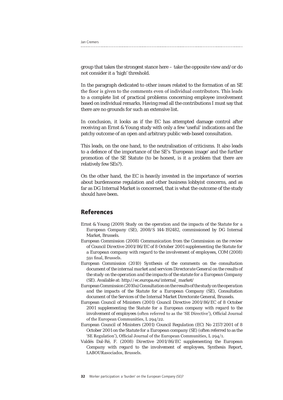Jan Cremers

group that takes the strongest stance here – take the opposite view and/or do not consider it a 'high' threshold.

In the paragraph dedicated to other issues related to the formation of an SE the floor is given to the comments even of individual contributors. This leads to a complete list of practical problems concerning employee involvement based on individual remarks. Having read all the contributions I must say that there are no grounds for such an extensive list.

In conclusion, it looks as if the EC has attempted damage control after receiving an Ernst & Young study with only a few 'useful' indications and the patchy outcome of an open and arbitrary public web-based consultation.

This leads, on the one hand, to the neutralisation of criticisms. It also leads to a defence of the importance of the SE's 'European image' and the further promotion of the SE Statute (to be honest, is it a problem that there are relatively few SEs?).

On the other hand, the EC is heavily invested in the importance of worries about burdensome regulation and other business lobbyist concerns, and as far as DG Internal Market is concerned, that is what the outcome of the study should have been.

#### **References**

- Ernst & Young (2009) *Study on the operation and the impacts of the Statute for a European Company (SE)*, 2008/S 144-192482, commissioned by DG Internal Market, Brussels.
- European Commission (2008) *Communication from the Commission on the review of Council Directive 2001/86/EC of 8 October 2001 supplementing the Statute for a European company with regard to the involvement of employees*, COM (2008) 591 final, Brussels.
- European Commission (2010) *Synthesis of the comments on the consultation document of the internal market and services Directorate General on the results of the study on the operation and the impacts of the statute for a European Company (SE).* Available at: http://ec.europa.eu/internal\_market/
- European Commission (2010a) *Consultation on the results of the study on the operation and the impacts of the Statute for a European Company (SE)*, Consultation document of the Services of the Internal Market Directorate General, Brussels.
- European Council of Ministers (2001) *Council Directive 2001/86/EC of 8 October 2001 supplementing the Statute for a European company with regard to the involvement of employees (*often referred to as the 'SE Directive'), Official Journal of the European Communities, L 294/22.
- European Council of Ministers (2001) *Council Regulation (EC) No 2157/2001 of 8 October 2001 on the Statute for a European company (SE)* (often referred to as the 'SE Regulation'), Official Journal of the European Communities, L 294/1.
- Valdés Dal-Ré, F. (2008) *Directive 2001/86/EC supplementing the European Company with regard to the involvement of employees*, Synthesis Report, LABOURasociados, Brussels.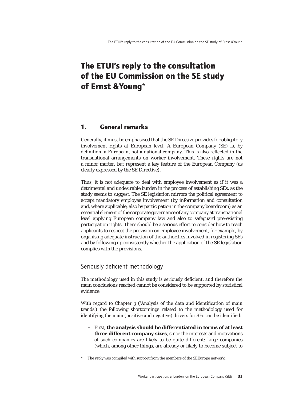## **The ETUI's reply to the consultation of the EU Commission on the SE study of Ernst &Young**\*

### **1. General remarks**

Generally, it must be emphasised that the SE Directive provides for obligatory involvement rights at European level. A European Company (SE) is, by definition, a European, not a national company. This is also reflected in the transnational arrangements on worker involvement. These rights are not a minor matter, but represent a key feature of the European Company (as clearly expressed by the SE Directive).

Thus, it is not adequate to deal with employee involvement as if it was a detrimental and undesirable burden in the process of establishing SEs, as the study seems to suggest. The SE legislation mirrors the political agreement to accept mandatory employee involvement (by information and consultation and, where applicable, also by participation in the company boardroom) as an essential element of the corporate governance of any company at transnational level applying European company law and also to safeguard pre-existing participation rights. There should be a serious effort to consider how to teach applicants to respect the provision on employee involvement, for example, by organising adequate instruction of the authorities involved in registering SEs and by following up consistently whether the application of the SE legislation complies with the provisions.

#### Seriously deficient methodology

The methodology used in this study is seriously deficient, and therefore the main conclusions reached cannot be considered to be supported by statistical evidence.

With regard to Chapter 3 ('Analysis of the data and identification of main trends') the following shortcomings related to the methodology used for identifying the main (positive and negative) drivers for SEs can be identified:

**–** First, **the analysis should be differentiated in terms of at least three different company sizes**, since the interests and motivations of such companies are likely to be quite different: large companies (which, among other things, are already or likely to become subject to

**<sup>\*</sup>** The reply was compiled with support from the members of the SEEurope network.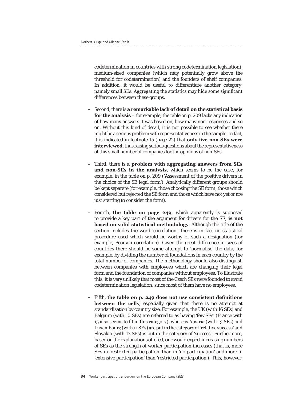codetermination in countries with strong codetermination legislation), medium-sized companies (which may potentially grow above the threshold for codetermination) and the founders of shelf companies. In addition, it would be useful to differentiate another category, namely small SEs. Aggregating the statistics may hide some significant differences between these groups.

- **–** Second, there is **a remarkable lack of detail on the statistical basis for the analysis** – for example, the table on p. 209 lacks any indication of how many answers it was based on, how many non-responses and so on. Without this kind of detail, it is not possible to see whether there might be a serious problem with representativeness in the sample. In fact, it is indicated in footnote 15 (page 22) that **only five non-SEs were interviewed**, thus raising serious questions about the representativeness of this small number of companies for the opinions of non-SEs.
- **–** Third, there is **a problem with aggregating answers from SEs and non-SEs in the analysis**, which seems to be the case, for example, in the table on p. 209 ('Assessment of the positive drivers in the choice of the SE legal form'). Analytically different groups should be kept separate (for example, those choosing the SE form, those which considered but rejected the SE form and those which have not yet or are just starting to consider the form).
- **–** Fourth, **the table on page 249**, which apparently is supposed to provide a key part of the argument for drivers for the SE, **is not based on solid statistical methodology**. Although the title of the section includes the word 'correlation', there is in fact no statistical procedure used which would be worthy of such a designation (for example, Pearson correlation). Given the great difference in sizes of countries there should be some attempt to 'normalise' the data, for example, by dividing the number of foundations in each country by the total number of companies. The methodology should also distinguish between companies with employees which are changing their legal form and the foundation of companies without employees. To illustrate this: it is very unlikely that most of the Czech SEs were founded to avoid codetermination legislation, since most of them have no employees.
- **–** Fifth, **the table on p. 249 does not use consistent definitions between the cells**, especially given that there is no attempt at standardisation by country size. For example, the UK (with 16 SEs) and Belgium (with 10 SEs) are referred to as having 'few SEs' (France with 15 also seems to fit in this category), whereas Austria (with 13 SEs) and Luxembourg (with 11 SEs) are put in the category of 'relative success' and Slovakia (with 13 SEs) is put in the category of 'success'. Furthermore, based on the explanations offered, one would expect increasing numbers of SEs as the strength of worker participation increases (that is, more SEs in 'restricted participation' than in 'no participation' and more in 'extensive participation' than 'restricted participation'). This, however,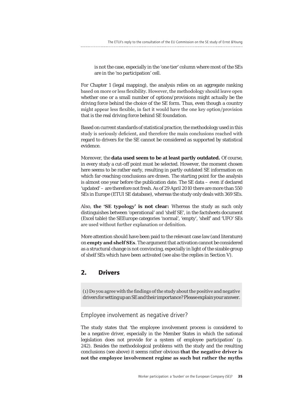is not the case, especially in the 'one tier' column where most of the SEs are in the 'no participation' cell.

For Chapter 1 (legal mapping), the analysis relies on an aggregate ranking based on more or less flexibility. However, the methodology should leave open whether one or a small number of options/provisions might actually be the driving force behind the choice of the SE form. Thus, even though a country might appear less flexible, in fact it would have the one key option/provision that is the real driving force behind SE foundation.

Based on current standards of statistical practice, the methodology used in this study is seriously deficient, and therefore the main conclusions reached with regard to drivers for the SE cannot be considered as supported by statistical evidence.

Moreover, the **data used seem to be at least partly outdated.** Of course, in every study a cut-off point must be selected. However, the moment chosen here seems to be rather early, resulting in partly outdated SE information on which far-reaching conclusions are drawn. The starting point for the analysis is almost one year before the publication date. The SE data – even if declared 'updated' – are therefore not fresh. As of 29 April 2010 there are more than 550 SEs in Europe (ETUI SE database), whereas the study only deals with 369 SEs.

Also, **the 'SE typology' is not clear:** Whereas the study as such only distinguishes between 'operational' and 'shelf SE', in the factsheets document (Excel table) the SEEurope categories 'normal', 'empty', 'shelf' and 'UFO' SEs are used without further explanation or definition.

More attention should have been paid to the relevant case law (and literature) on **empty and shelf SEs**. The argument that activation cannot be considered as a structural change is not convincing, especially in light of the sizable group of shelf SEs which have been activated (see also the replies in Section V).

#### **2. Drivers**

(1) Do you agree with the findings of the study about the positive and negative drivers for setting up an SE and their importance? Please explain your answer.

#### Employee involvement as negative driver?

The study states that 'the employee involvement process is considered to be a negative driver, especially in the Member States in which the national legislation does not provide for a system of employee participation' (p. 242). Besides the methodological problems with the study and the resulting conclusions (see above) it seems rather obvious **that the negative driver is not the employee involvement regime as such but rather the myths**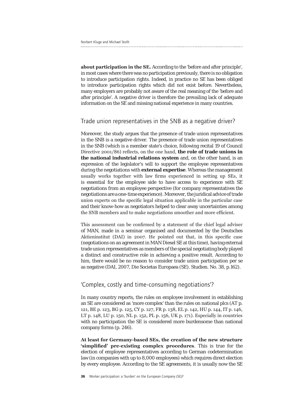**about participation in the SE.** According to the 'before and after principle', in most cases where there was no participation previously, there is no obligation to introduce participation rights. Indeed, in practice no SE has been obliged to introduce participation rights which did not exist before. Nevertheless, many employers are probably not aware of the real meaning of the 'before and after principle'. A negative driver is therefore the prevailing lack of adequate information on the SE and missing national experience in many countries.

#### Trade union representatives in the SNB as a negative driver?

Moreover, the study argues that the presence of trade union representatives in the SNB is a negative driver. The presence of trade union representatives in the SNB (which is a member state's choice, following recital 19 of Council Directive 2001/86) reflects, on the one hand, **the role of trade unions in the national industrial relations system** and, on the other hand, is an expression of the legislator's will to support the employee representatives during the negotiations with **external expertise**. Whereas the management usually works together with law firms experienced in setting up SEs, it is essential for the employee side to have access to experience with SE negotiations from an employee perspective (for company representatives the negotiations are a one-time experience). Moreover, the juridical advice of trade union experts on the specific legal situation applicable in the particular case and their know-how as negotiators helped to clear away uncertainties among the SNB members and to make negotiations smoother and more efficient.

This assessment can be confirmed by a statement of the chief legal adviser of MAN, made in a seminar organised and documented by the Deutsches Aktieninstitut (DAI) in 2007. He pointed out that, in this specific case (negotiations on an agreement in MAN Diesel SE at this time), having external trade union representatives as members of the special negotiating body played a distinct and constructive role in achieving a positive result. According to him, there would be no reason to consider trade union participation per se as negative (DAI, 2007, Die Societas Europaea (SE). Studien. No. 38, p.162).

#### 'Complex, costly and time-consuming negotiations'?

In many country reports, the rules on employee involvement in establishing an SE are considered as 'more complex' than the rules on national plcs (AT p. 121, BE p. 123, BG p. 125, CY p. 127, FR p. 138, EL p. 142, HU p. 144, IT p. 146, LT p. 148, LU p. 150, NL p. 152, PL p. 156, UK p. 171). Especially in countries with no participation the SE is considered more burdensome than national company forms (p. 246).

**At least for Germany-based SEs, the creation of the new structure 'simplified' pre-existing complex procedures**. This is true for the election of employee representatives according to German codetermination law (in companies with up to 8,000 employees) which requires direct election by every employee. According to the SE agreements, it is usually now the SE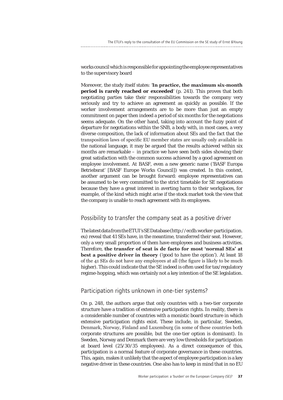works council which is responsible for appointing the employee representatives to the supervisory board

Moreover, the study itself states: '**In practice, the maximum six-month period is rarely reached or exceeded**' (p. 241). This proves that both negotiating parties take their responsibilities towards the company very seriously and try to achieve an agreement as quickly as possible. If the worker involvement arrangements are to be more than just an empty commitment on paper then indeed a period of six months for the negotiations seems adequate. On the other hand, taking into account the fuzzy point of departure for negotiations within the SNB, a body with, in most cases, a very diverse composition, the lack of information about SEs and the fact that the transposition laws of specific EU member states are usually only available in the national language, it may be argued that the results achieved within six months are remarkable – in practice we have seen both sides showing their great satisfaction with the common success achieved by a good agreement on employee involvement. At BASF, even a new generic name ('BASF Europa Betriebsrat' [BASF Europe Works Council]) was created. In this context, another argument can be brought forward: employee representatives can be assumed to be very committed to the strict timetable for SE negotiations because they have a great interest in averting harm to their workplaces, for example, of the kind which might arise if the stock market took the view that the company is unable to reach agreement with its employees.

#### Possibility to transfer the company seat as a positive driver

The latest data from the ETUI's SE Database (http://ecdb.worker-participation. eu) reveal that 41 SEs have, in the meantime, transferred their seat. However, only a very small proportion of them have employees and business activities. Therefore, **the transfer of seat is de facto for most 'normal SEs' at best a positive driver in theory** ('good to have the option'). At least 18 of the 41 SEs do not have any employees at all (the figure is likely to be much higher). This could indicate that the SE indeed is often used for tax/regulatory regime-hopping, which was certainly not a key intention of the SE legislation.

#### Participation rights unknown in one-tier systems?

On p. 248, the authors argue that only countries with a two-tier corporate structure have a tradition of extensive participation rights. In reality, there is a considerable number of countries with a monistic board structure in which extensive participation rights exist. These include, in particular, Sweden, Denmark, Norway, Finland and Luxemburg (in some of these countries both corporate structures are possible, but the one-tier option is dominant). In Sweden, Norway and Denmark there are very low thresholds for participation at board level (25/30/35 employees). As a direct consequence of this, participation is a normal feature of corporate governance in these countries. This, again, makes it unlikely that the aspect of employee participation is a key negative driver in these countries. One also has to keep in mind that in no EU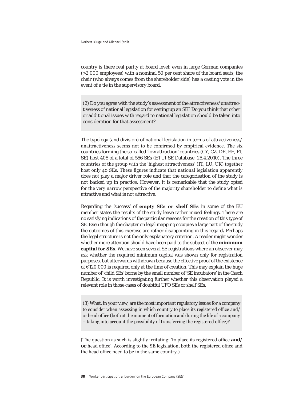country is there real parity at board level: even in large German companies (>2,000 employees) with a nominal 50 per cent share of the board seats, the chair (who always comes from the shareholder side) has a casting vote in the event of a tie in the supervisory board.

(2) Do you agree with the study's assessment of the attractiveness/unattractiveness of national legislation for setting up an SE? Do you think that other or additional issues with regard to national legislation should be taken into consideration for that assessment?

The typology (and division) of national legislation in terms of attractiveness/ unattractiveness seems not to be confirmed by empirical evidence. The six countries forming the so-called 'low attraction' countries (CY, CZ, DE, EE, FI, SE) host 405 of a total of 556 SEs (ETUI SE Database, 25.4.2010). The three countries of the group with the 'highest attractiveness' (IT, LU, UK) together host only 40 SEs. These figures indicate that national legislation apparently does not play a major driver role and that the categorisation of the study is not backed up in practice. However, it is remarkable that the study opted for the very narrow perspective of the majority shareholder to define what is attractive and what is not attractive.

Regarding the 'success' of **empty SEs or shelf SEs** in some of the EU member states the results of the study leave rather mixed feelings. There are no satisfying indications of the particular reasons for the creation of this type of SE. Even though the chapter on legal mapping occupies a large part of the study the outcomes of this exercise are rather disappointing in this regard**.** Perhaps the legal structure is not the only explanatory criterion. A reader might wonder whether more attention should have been paid to the subject of the **minimum capital for SEs**. We have seen several SE registrations where an observer may ask whether the required minimum capital was shown only for registration purposes, but afterwards withdrawn because the effective proof of the existence of €120,000 is required only at the time of creation. This may explain the huge number of 'child SEs' borne by the small number of 'SE incubators' in the Czech Republic. It is worth investigating further whether this observation played a relevant role in those cases of doubtful UFO SEs or shelf SEs.

(3) What, in your view, are the most important regulatory issues for a company to consider when assessing in which country to place its registered office and/ or head office (both at the moment of formation and during the life of a company – taking into account the possibility of transferring the registered office)?

(The question as such is slightly irritating: 'to place its registered office **and/ or** head office'. According to the SE legislation, both the registered office and the head office need to be in the same country.)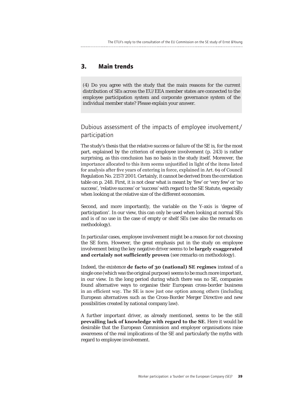## **3. Main trends**

(4) Do you agree with the study that the main reasons for the current distribution of SEs across the EU/EEA member states are connected to the employee participation system and corporate governance system of the individual member state? Please explain your answer.

#### Dubious assessment of the impacts of employee involvement/ participation

The study's thesis that the relative success or failure of the SE is, for the most part, explained by the criterion of employee involvement (p. 243) is rather surprising, as this conclusion has no basis in the study itself. Moreover, the importance allocated to this item seems unjustified in light of the items listed for analysis after five years of entering in force, explained in Art. 69 of Council Regulation No. 2157/2001. Certainly, it cannot be derived from the correlation table on p. 248. First, it is not clear what is meant by 'few' or 'very few' or 'no success', 'relative success' or 'success' with regard to the SE Statute, especially when looking at the relative size of the different economies.

Second, and more importantly, the variable on the Y-axis is 'degree of participation'. In our view, this can only be used when looking at normal SEs and is of no use in the case of empty or shelf SEs (see also the remarks on methodology).

In particular cases, employee involvement might be a reason for not choosing the SE form. However, the great emphasis put in the study on employee involvement being *the* key negative driver seems to be **largely exaggerated and certainly not sufficiently proven** (see remarks on methodology).

Indeed, the existence **de facto of 30 (national) SE regimes** instead of a single one (which was the original purpose) seems to be much more important, in our view. In the long period during which there was no SE, companies found alternative ways to organise their European cross-border business in an efficient way. The SE is now just one option among others (including European alternatives such as the Cross-Border Merger Directive and new possibilities created by national company law).

A further important driver, as already mentioned, seems to be the still **prevailing lack of knowledge with regard to the SE**. Here it would be desirable that the European Commission and employer organisations raise awareness of the real implications of the SE and particularly the myths with regard to employee involvement.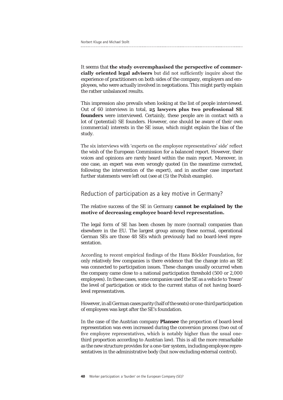It seems that **the study overemphasised the perspective of commercially oriented legal advisers** but did not sufficiently inquire about the experience of practitioners on both sides of the company, employers and employees, who were actually involved in negotiations. This might partly explain the rather unbalanced results.

This impression also prevails when looking at the list of people interviewed. Out of 60 interviews in total, **25 lawyers plus two professional SE founders** were interviewed. Certainly, these people are in contact with a lot of (potential) SE founders. However, one should be aware of their own (commercial) interests in the SE issue, which might explain the bias of the study.

The six interviews with 'experts on the employee representatives' side' reflect the wish of the European Commission for a balanced report. However, their voices and opinions are rarely heard within the main report. Moreover, in one case, an expert was even wrongly quoted (in the meantime corrected, following the intervention of the expert), and in another case important further statements were left out (see at (5) the Polish example).

#### Reduction of participation as a key motive in Germany?

The relative success of the SE in Germany **cannot be explained by the motive of decreasing employee board-level representation.**

The legal form of SE has been chosen by more (normal) companies than elsewhere in the EU. The largest group among these normal, operational German SEs are those 48 SEs which previously had no board-level representation.

According to recent empirical findings of the Hans Böckler Foundation, for only relatively few companies is there evidence that the change into an SE was connected to participation issues. These changes usually occurred when the company came close to a national participation threshold (500 or 2,000 employees). In these cases, some companies used the SE as a vehicle to 'freeze' the level of participation or stick to the current status of not having boardlevel representatives.

However, in all German cases parity (half of the seats) or one-third participation of employees was kept after the SE's foundation.

In the case of the Austrian company **Plansee** the proportion of board-level representation was even increased during the conversion process (two out of five employee representatives, which is notably higher than the usual onethird proportion according to Austrian law). This is all the more remarkable as the new structure provides for a one-tier system, including employee representatives in the administrative body (but now excluding external control).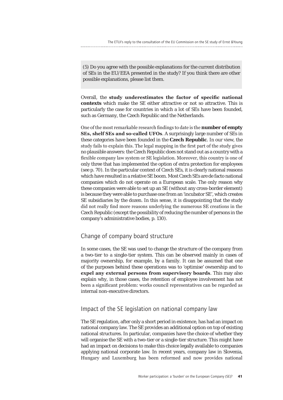(5) Do you agree with the possible explanations for the current distribution of SEs in the EU/EEA presented in the study? If you think there are other possible explanations, please list them.

Overall, the **study underestimates the factor of specific national contexts** which make the SE either attractive or not so attractive. This is particularly the case for countries in which a lot of SEs have been founded, such as Germany, the Czech Republic and the Netherlands.

One of the most remarkable research findings to date is the **number of empty SEs, shelf SEs and so-called UFOs**. A surprisingly large number of SEs in these categories have been founded in the **Czech Republic**. In our view, the study fails to explain this. The legal mapping in the first part of the study gives no plausible answers: the Czech Republic does not stand out as a country with a flexible company law system or SE legislation. Moreover, this country is one of only three that has implemented the option of extra protection for employees (see p. 70). In the particular context of Czech SEs, it is clearly national reasons which have resulted in a relative SE boom. Most Czech SEs are de facto national companies which do not operate on a European scale. The only reason why these companies were able to set up an SE (without any cross-border element) is because they were able to purchase one from an 'incubator SE', which creates SE subsidiaries by the dozen. In this sense, it is disappointing that the study did not really find more reasons underlying the numerous SE creations in the Czech Republic (except the possibility of reducing the number of persons in the company's administrative bodies, p. 130).

#### Change of company board structure

In some cases, the SE was used to change the structure of the company from a two-tier to a single-tier system. This can be observed mainly in cases of majority ownership, for example, by a family. It can be assumed that one of the purposes behind these operations was to 'optimise' ownership and to **expel any external persons from supervisory boards**. This may also explain why, in those cases, the retention of employee involvement has not been a significant problem: works council representatives can be regarded as internal non-executive directors.

#### Impact of the SE legislation on national company law

The SE regulation, after only a short period in existence, has had an impact on national company law. The SE provides an additional option on top of existing national structures. In particular, companies have the choice of whether they will organise the SE with a two-tier or a single-tier structure. This might have had an impact on decisions to make this choice legally available to companies applying national corporate law. In recent years, company law in Slovenia, Hungary and Luxemburg has been reformed and now provides national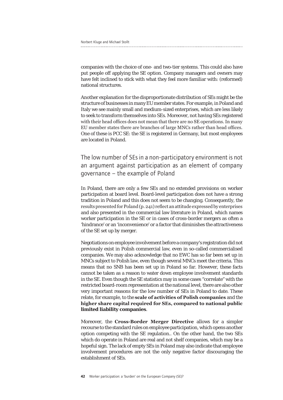companies with the choice of one- and two-tier systems. This could also have put people off applying the SE option. Company managers and owners may have felt inclined to stick with what they feel more familiar with: (reformed) national structures.

Another explanation for the disproportionate distribution of SEs might be the structure of businesses in many EU member states. For example, in Poland and Italy we see mainly small and medium-sized enterprises, which are less likely to seek to transform themselves into SEs. Moreover, not having SEs registered with their head offices does not mean that there are no SE operations. In many EU member states there are branches of large MNCs rather than head offices. One of these is PCC SE: the SE is registered in Germany, but most employees are located in Poland.

The low number of SEs in a non-participatory environment is not an argument against participation as an element of company governance – the example of Poland

In Poland, there are only a few SEs and no extended provisions on worker participation at board level. Board-level participation does not have a strong tradition in Poland and this does not seem to be changing. Consequently, the results presented for Poland (p. 241) reflect an attitude expressed by enterprises and also presented in the commercial law literature in Poland, which names worker participation in the SE or in cases of cross-border mergers as often a 'hindrance' or an 'inconvenience' or a factor that diminishes the attractiveness of the SE set up by merger.

Negotiations on employee involvement before a company's registration did not previously exist in Polish commercial law, even in so-called commercialised companies. We may also acknowledge that no EWC has so far been set up in MNCs subject to Polish law, even though several MNCs meet the criteria. This means that no SNB has been set up in Poland so far. However, these facts cannot be taken as a reason to water down employee involvement standards in the SE. Even though the SE statistics may in some cases "correlate" with the restricted board-room representation at the national level, there are also other very important reasons for the low number of SEs in Poland to date. These relate, for example, to the **scale of activities of Polish companies** and the **higher share capital required for SEs, compared to national public limited liability companies**.

Moreover, the **Cross-Border Merger Directive** allows for a simpler recourse to the standard rules on employee participation, which opens another option competing with the SE regulation.. On the other hand, the two SEs which do operate in Poland are real and not shelf companies, which may be a hopeful sign. The lack of empty SEs in Poland may also indicate that employee involvement procedures are not the only negative factor discouraging the establishment of SEs.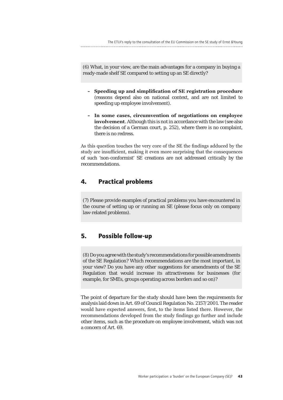(6) What, in your view, are the main advantages for a company in buying a ready-made shelf SE compared to setting up an SE directly?

- **– Speeding up and simplification of SE registration procedure**  (reasons depend also on national context, and are not limited to speeding up employee involvement).
- **– In some cases, circumvention of negotiations on employee involvement**. Although this is not in accordance with the law (see also the decision of a German court, p. 252), where there is no complaint, there is no redress.

As this question touches the very core of the SE the findings adduced by the study are insufficient, making it even more surprising that the consequences of such 'non-conformist' SE creations are not addressed critically by the recommendations.

### **4. Practical problems**

(7) Please provide examples of practical problems you have encountered in the course of setting up or running an SE (please focus only on company law-related problems).

#### **5. Possible follow-up**

(8) Do you agree with the study's recommendations for possible amendments of the SE Regulation? Which recommendations are the most important, in your view? Do you have any other suggestions for amendments of the SE Regulation that would increase its attractiveness for businesses (for example, for SMEs, groups operating across borders and so on)?

The point of departure for the study should have been the requirements for analysis laid down in Art. 69 of Council Regulation No. 2157/2001. The reader would have expected answers, first, to the items listed there. However, the recommendations developed from the study findings go further and include other items, such as the procedure on employee involvement, which was not a concern of Art. 69.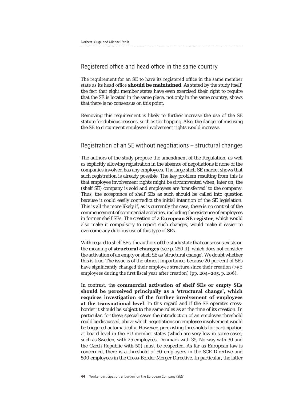#### Registered office and head office in the same country

The requirement for an SE to have its registered office in the same member state as its head office **should be maintained**. As stated by the study itself, the fact that eight member states have even exercised their right to require that the SE is located in the same place, not only in the same country, shows that there is no consensus on this point.

Removing this requirement is likely to further increase the use of the SE statute for dubious reasons, such as tax hopping. Also, the danger of misusing the SE to circumvent employee involvement rights would increase.

### Registration of an SE without negotiations – structural changes

The authors of the study propose the amendment of the Regulation, as well as explicitly allowing registration in the absence of negotiations if none of the companies involved has any employees. The large shelf SE market shows that such registration is already possible. The key problem resulting from this is that employee involvement rights might be circumvented when, later on, the (shelf SE) company is sold and employees are 'transferred' to the company. Thus, the acceptance of shelf SEs as such should be called into question because it could easily contradict the initial intention of the SE legislation. This is all the more likely if, as is currently the case, there is no control of the commencement of commercial activities, including the existence of employees in former shelf SEs. The creation of a **European SE register**, which would also make it compulsory to report such changes, would make it easier to overcome any dubious use of this type of SEs.

With regard to shelf SEs, the authors of the study state that consensus exists on the meaning of **structural changes** (see p. 250 ff), which does not consider the activation of an empty or shelf SE as 'structural change'. We doubt whether this is true. The issue is of the utmost importance, because 20 per cent of SEs have significantly changed their employee structure since their creation (>50 employees during the first fiscal year after creation) (pp. 204–205, p. 206).

In contrast, the **commercial activation of shelf SEs or empty SEs should be perceived principally as a 'structural change', which requires investigation of the further involvement of employees at the transnational level**. In this regard and if the SE operates crossborder it should be subject to the same rules as at the time of its creation. In particular, for these special cases the introduction of an employee threshold could be discussed, above which negotiations on employee involvement would be triggered automatically. However, preexisting thresholds for participation at board level in the EU member states (which are very low in some cases, such as Sweden, with 25 employees, Denmark with 35, Norway with 30 and the Czech Republic with 50) must be respected. As far as European law is concerned, there is a threshold of 50 employees in the SCE Directive and 500 employees in the Cross-Border Merger Directive. In particular, the latter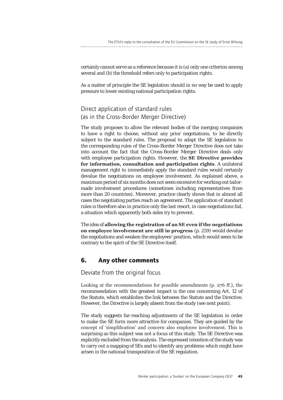certainly cannot serve as a reference because it is (a) only one criterion among several and (b) the threshold refers only to participation rights.

As a matter of principle the SE legislation should in no way be used to apply pressure to lower existing national participation rights.

## Direct application of standard rules (as in the Cross-Border Merger Directive)

The study proposes to allow the relevant bodies of the merging companies to have a right to choose, without any prior negotiations, to be directly subject to the standard rules. The proposal to adapt the SE legislation to the corresponding rules of the Cross-Border Merger Directive does not take into account the fact that the Cross-Border Merger Directive deals only with employee participation rights. However, the **SE Directive provides for information, consultation and participation rights**. A unilateral management right to immediately apply the standard rules would certainly devalue the negotiations on employee involvement. As explained above, a maximum period of six months does not seem excessive for working out tailormade involvement procedures (sometimes including representatives from more than 20 countries). Moreover, practice clearly shows that in almost all cases the negotiating parties reach an agreement. The application of standard rules is therefore also in practice only the last resort, in case negotiations fail, a situation which apparently both sides try to prevent.

The idea of **allowing the registration of an SE even if the negotiations on employee involvement are still in progress** (p. 259) would devalue the negotiations and weaken the employees' position, which would seem to be contrary to the spirit of the SE Directive itself.

#### **6. Any other comments**

Deviate from the original focus

Looking at the recommendations for possible amendments (p. 276 ff.), the recommendation with the greatest impact is the one concerning Art. 12 of the Statute, which establishes the link between the Statute and the Directive. However, the Directive is largely absent from the study (see next point).

The study suggests far-reaching adjustments of the SE legislation in order to make the SE form more attractive for companies. They are guided by the concept of 'simplification' and concern also employee involvement. This is surprising as this subject was not a focus of this study. The SE Directive was explicitly excluded from the analysis. The expressed intention of the study was to carry out a mapping of SEs and to identify any problems which might have arisen in the national transposition of the SE regulation.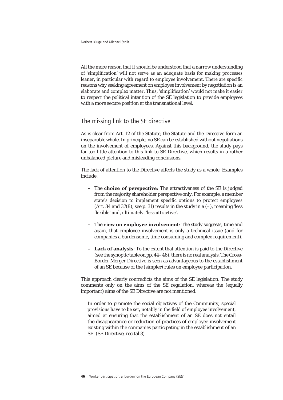All the more reason that it should be understood that a narrow understanding of 'simplification' will not serve as an adequate basis for making processes leaner, in particular with regard to employee involvement. There are specific reasons why seeking agreement on employee involvement by negotiation is an elaborate and complex matter. Thus, 'simplification' would not make it easier to respect the political intention of the SE legislation to provide employees with a more secure position at the transnational level.

#### The missing link to the SE directive

As is clear from Art. 12 of the Statute, the Statute and the Directive form an inseparable whole. In principle, no SE can be established without negotiations on the involvement of employees. Against this background, the study pays far too little attention to this link to SE Directive, which results in a rather unbalanced picture and misleading conclusions.

The lack of attention to the Directive affects the study as a whole. Examples include:

- **–** The **choice of perspective**: The attractiveness of the SE is judged from the majority shareholder perspective only. For example, a member state's decision to implement specific options to protect employees (Art. 34 and 37(8), see p. 31) results in the study in a  $(-)$ , meaning 'less flexible' and, ultimately, 'less attractive'.
- **–** The **view on employee involvement**: The study suggests, time and again, that employee involvement is only a technical issue (and for companies a burdensome, time consuming and complex requirement).
- **– Lack of analysis**: To the extent that attention is paid to the Directive (see the synoptic table on pp. 44–46), there is no real analysis. The Cross-Border Merger Directive is seen as advantageous to the establishment of an SE because of the (simpler) rules on employee participation.

This approach clearly contradicts the aims of the SE legislation. The study comments only on the aims of the SE regulation, whereas the (equally important) aims of the SE Directive are not mentioned.

In order to promote the social objectives of the Community, special provisions have to be set, notably in the field of employee involvement, aimed at ensuring that the establishment of an SE does not entail the disappearance or reduction of practices of employee involvement existing within the companies participating in the establishment of an SE. (SE Directive, recital 3)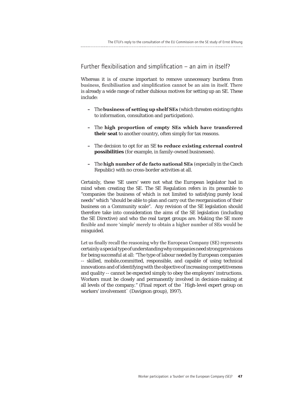#### Further flexibilisation and simplification – an aim in itself?

Whereas it is of course important to remove unnecessary burdens from business, flexibilisation and simplification cannot be an aim in itself. There is already a wide range of rather dubious motives for setting up an SE. These include:

- **–** The **business of setting up shelf SEs** (which threaten existing rights to information, consultation and participation).
- **–** The **high proportion of empty SEs which have transferred their seat** to another country, often simply for tax reasons.
- **–** The decision to opt for an SE **to reduce existing external control possibilities** (for example, in family-owned businesses).
- **–** The **high number of de facto national SEs** (especially in the Czech Republic) with no cross-border activities at all.

Certainly, these 'SE users' were not what the European legislator had in mind when creating the SE. The SE Regulation refers in its preamble to "companies the business of which is not limited to satisfying purely local needs" which "should be able to plan and carry out the reorganisation of their business on a Community scale". Any revision of the SE legislation should therefore take into consideration the aims of the SE legislation (including the SE Directive) and who the real target groups are. Making the SE more flexible and more 'simple' merely to obtain a higher number of SEs would be misguided.

Let us finally recall the reasoning why the European Company (SE) represents certainly a special type of understanding why companies need strong provisions for being successful at all: "The type of labour needed by European companies -- skilled, mobile,committed, responsible, and capable of using technical innovations and of identifying with the objective of increasing competitiveness and quality -- cannot be expected simply to obey the employers' instructions. Workers must be closely and permanently involved in decision-making at all levels of the company." (Final report of the `High-level expert group on workers' involvement` (Davignon group), 1997).